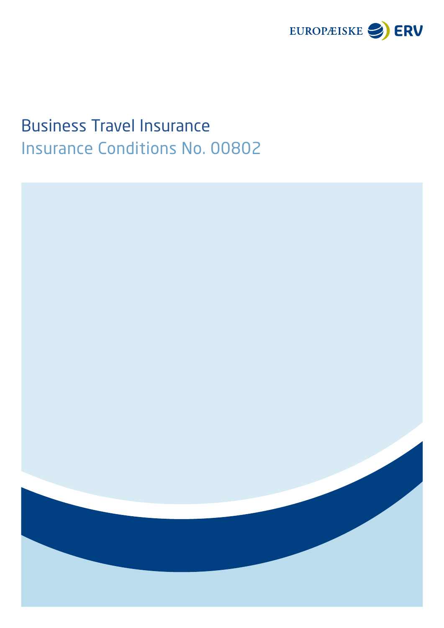

# Business Travel Insurance Insurance Conditions No. 00802

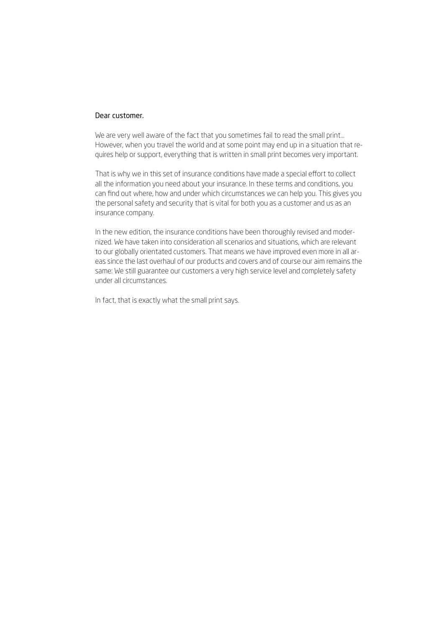# Dear customer.

We are very well aware of the fact that you sometimes fail to read the small print... However, when you travel the world and at some point may end up in a situation that requires help or support, everything that is written in small print becomes very important.

That is why we in this set of insurance conditions have made a special effort to collect all the information you need about your insurance. In these terms and conditions, you can find out where, how and under which circumstances we can help you. This gives you the personal safety and security that is vital for both you as a customer and us as an insurance company.

In the new edition, the insurance conditions have been thoroughly revised and modernized. We have taken into consideration all scenarios and situations, which are relevant to our globally orientated customers. That means we have improved even more in all areas since the last overhaul of our products and covers and of course our aim remains the same: We still guarantee our customers a very high service level and completely safety under all circumstances.

In fact, that is exactly what the small print says.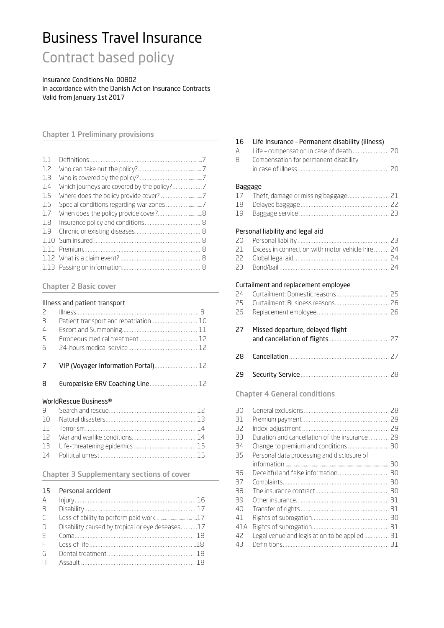# Business Travel Insurance

Contract based policy

Insurance Conditions No. 00802 In accordance with the Danish Act on Insurance Contracts Valid from January 1st 2017

# Chapter 1 Preliminary provisions

| 1.1 |  |
|-----|--|
| 1.7 |  |
| 1.3 |  |
| 1.4 |  |
| 1.5 |  |
| 1.6 |  |
| 1.7 |  |
| 1.8 |  |
| 1.9 |  |
|     |  |
|     |  |
|     |  |
|     |  |

#### Chapter 2 Basic cover

#### Illness and patient transport

| $\overline{z}$  |                                       |  |
|-----------------|---------------------------------------|--|
| 3               | Patient transport and repatriation 10 |  |
| $\overline{4}$  |                                       |  |
| 5               |                                       |  |
| $6\overline{6}$ |                                       |  |
|                 |                                       |  |
|                 |                                       |  |
| 7               | VIP (Voyager Information Portal) 12   |  |
|                 |                                       |  |
| 8               | Europæiske ERV Coaching Line 12       |  |
|                 |                                       |  |

#### WorldRescue Business®

# Chapter 3 Supplementary sections of cover

#### 15 Personal accident

| $\overline{B}$                                 |                                                 |  |
|------------------------------------------------|-------------------------------------------------|--|
| $\begin{bmatrix} 1 & 1 \\ 1 & 1 \end{bmatrix}$ |                                                 |  |
| $\Box$                                         | Disability caused by tropical or eye deseases17 |  |
| F                                              |                                                 |  |
| F                                              |                                                 |  |
|                                                |                                                 |  |
| H                                              |                                                 |  |
|                                                |                                                 |  |

#### 16 Life Insurance – Permanent disability (illness)

| A Life – compensation in case of death  20 |  |
|--------------------------------------------|--|
| B Compensation for permanent disability    |  |
|                                            |  |
|                                            |  |

#### Baggage

19 Baggage service .................................................. ..... [23](#page-22-0)

## Personal liability and legal aid

| 21 Excess in connection with motor vehicle hire  24 |
|-----------------------------------------------------|
|                                                     |
|                                                     |

#### Curtailment and replacement employee

| 27 | Missed departure, delayed flight |
|----|----------------------------------|
|    |                                  |

# 29 Security Service................................................. ..... [28](#page-27-0)

#### Chapter 4 General conditions

| ЗO   |                                                |  |
|------|------------------------------------------------|--|
| 31   |                                                |  |
| 32   |                                                |  |
|      |                                                |  |
| 33   | Duration and cancellation of the insurance  29 |  |
| 34   |                                                |  |
| 35   | Personal data processing and disclosure of     |  |
|      |                                                |  |
| 36   |                                                |  |
| 37   |                                                |  |
| 38   |                                                |  |
| 39   |                                                |  |
| 40   |                                                |  |
| 41   |                                                |  |
| 41 A |                                                |  |
| 42   | Legal venue and legislation to be applied 31   |  |
| 43   |                                                |  |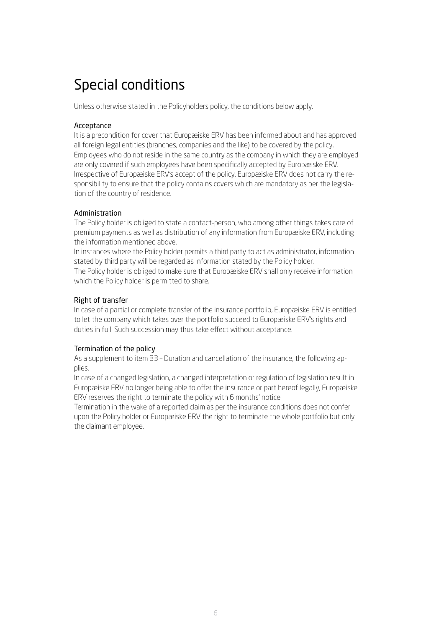# Special conditions

Unless otherwise stated in the Policyholders policy, the conditions below apply.

# Acceptance

It is a precondition for cover that Europæiske ERV has been informed about and has approved all foreign legal entities (branches, companies and the like) to be covered by the policy. Employees who do not reside in the same country as the company in which they are employed are only covered if such employees have been specifically accepted by Europæiske ERV. Irrespective of Europæiske ERV's accept of the policy, Europæiske ERV does not carry the responsibility to ensure that the policy contains covers which are mandatory as per the legislation of the country of residence.

## Administration

The Policy holder is obliged to state a contact-person, who among other things takes care of premium payments as well as distribution of any information from Europæiske ERV, including the information mentioned above.

In instances where the Policy holder permits a third party to act as administrator, information stated by third party will be regarded as information stated by the Policy holder.

The Policy holder is obliged to make sure that Europæiske ERV shall only receive information which the Policy holder is permitted to share.

## Right of transfer

In case of a partial or complete transfer of the insurance portfolio, Europæiske ERV is entitled to let the company which takes over the portfolio succeed to Europæiske ERV's rights and duties in full. Such succession may thus take effect without acceptance.

# Termination of the policy

As a supplement to item 33 – Duration and cancellation of the insurance, the following applies.

In case of a changed legislation, a changed interpretation or regulation of legislation result in Europæiske ERV no longer being able to offer the insurance or part hereof legally, Europæiske ERV reserves the right to terminate the policy with 6 months' notice

Termination in the wake of a reported claim as per the insurance conditions does not confer upon the Policy holder or Europæiske ERV the right to terminate the whole portfolio but only the claimant employee.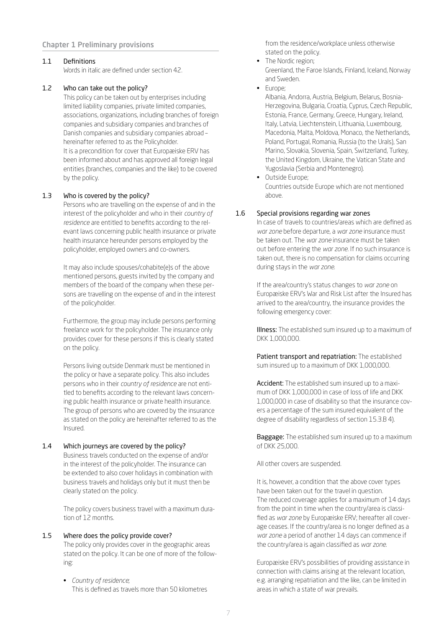## Chapter 1 Preliminary provisions

#### <span id="page-6-0"></span>1.1 Definitions

Words in italic are defined under section 42.

#### <span id="page-6-1"></span>1.2 Who can take out the policy?

This policy can be taken out by enterprises including limited liability companies, private limited companies, associations, organizations, including branches of foreign companies and subsidiary companies and branches of Danish companies and subsidiary companies abroad – hereinafter referred to as the Policyholder. It is a precondition for cover that Europæiske ERV has been informed about and has approved all foreign legal entities (branches, companies and the like) to be covered by the policy.

#### <span id="page-6-2"></span>1.3 Who is covered by the policy?

Persons who are travelling on the expense of and in the interest of the policyholder and who in their *country of residence* are entitled to benefits according to the relevant laws concerning public health insurance or private health insurance hereunder persons employed by the policyholder, employed owners and co-owners.

It may also include spouses/cohabite(e)s of the above mentioned persons, guests invited by the company and members of the board of the company when these persons are travelling on the expense of and in the interest of the policyholder.

Furthermore, the group may include persons performing freelance work for the policyholder. The insurance only provides cover for these persons if this is clearly stated on the policy.

Persons living outside Denmark must be mentioned in the policy or have a separate policy. This also includes persons who in their *country of residence* are not entitled to benefits according to the relevant laws concerning public health insurance or private health insurance. The group of persons who are covered by the insurance as stated on the policy are hereinafter referred to as the Insured.

#### <span id="page-6-3"></span>1.4 Which journeys are covered by the policy?

Business travels conducted on the expense of and/or in the interest of the policyholder. The insurance can be extended to also cover holidays in combination with business travels and holidays only but it must then be clearly stated on the policy.

The policy covers business travel with a maximum duration of 12 months.

#### <span id="page-6-4"></span>1.5 Where does the policy provide cover?

The policy only provides cover in the geographic areas stated on the policy. It can be one of more of the following:

• *Country of residence*; This is defined as travels more than 50 kilometres from the residence/workplace unless otherwise stated on the policy.

- The Nordic region; Greenland, the Faroe Islands, Finland, Iceland, Norway and Sweden.
- Europe;

 Albania, Andorra, Austria, Belgium, Belarus, Bosnia-Herzegovina, Bulgaria, Croatia, Cyprus, Czech Republic, Estonia, France, Germany, Greece, Hungary, Ireland, Italy, Latvia, Liechtenstein, Lithuania, Luxembourg, Macedonia, Malta, Moldova, Monaco, the Netherlands, Poland, Portugal, Romania, Russia (to the Urals), San Marino, Slovakia, Slovenia, Spain, Switzerland, Turkey, the United Kingdom, Ukraine, the Vatican State and Yugoslavia (Serbia and Montenegro).

• Outside Europe; Countries outside Europe which are not mentioned above.

#### <span id="page-6-5"></span>1.6 Special provisions regarding war zones

In case of travels to countries/areas which are defined as *war zone* before departure, a *war zone* insurance must be taken out. The *war zone* insurance must be taken out before entering the *war zone*. If no such insurance is taken out, there is no compensation for claims occurring during stays in the *war zone*.

If the area/country's status changes to *war zone* on Europæiske ERV's War and Risk List after the Insured has arrived to the area/country, the insurance provides the following emergency cover:

Illness: The established sum insured up to a maximum of DKK 1,000,000.

Patient transport and repatriation: The established sum insured up to a maximum of DKK 1,000,000.

Accident: The established sum insured up to a maximum of DKK 1,000,000 in case of loss of life and DKK 1,000,000 in case of disability so that the insurance covers a percentage of the sum insured equivalent of the degree of disability regardless of section 15.3.B 4).

**Baggage:** The established sum insured up to a maximum of DKK 25,000.

All other covers are suspended.

It is, however, a condition that the above cover types have been taken out for the travel in question. The reduced coverage applies for a maximum of 14 days from the point in time when the country/area is classified as *war zone* by Europæiske ERV; hereafter all coverage ceases. If the country/area is no longer defined as a *war zone* a period of another 14 days can commence if the country/area is again classified as *war zone*.

Europæiske ERV's possibilities of providing assistance in connection with claims arising at the relevant location, e.g. arranging repatriation and the like, can be limited in areas in which a state of war prevails.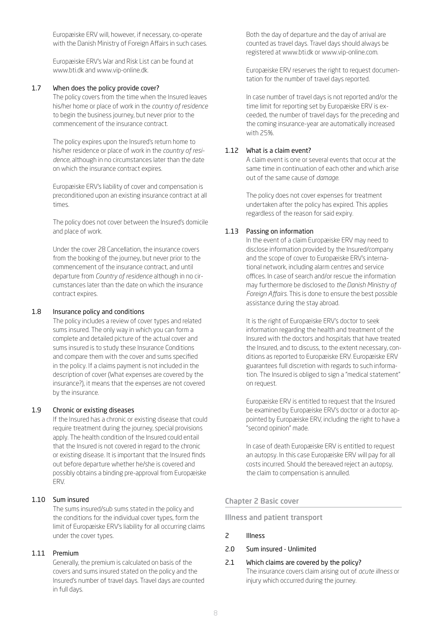Europæiske ERV will, however, if necessary, co-operate with the Danish Ministry of Foreign Affairs in such cases.

Europæiske ERV's War and Risk List can be found at www.bti.dk and www.vip-online.dk.

#### <span id="page-7-0"></span>1.7 When does the policy provide cover?

The policy covers from the time when the Insured leaves his/her home or place of work in the *country of residence* to begin the business journey, but never prior to the commencement of the insurance contract.

The policy expires upon the Insured's return home to his/her residence or place of work in the *country of residence*, although in no circumstances later than the date on which the insurance contract expires.

Europæiske ERV's liability of cover and compensation is preconditioned upon an existing insurance contract at all times.

The policy does not cover between the Insured's domicile and place of work.

Under the cover 28 Cancellation, the insurance covers from the booking of the journey, but never prior to the commencement of the insurance contract, and until departure from *Country of residence* although in no circumstances later than the date on which the insurance contract expires.

#### <span id="page-7-1"></span>1.8 Insurance policy and conditions

The policy includes a review of cover types and related sums insured. The only way in which you can form a complete and detailed picture of the actual cover and sums insured is to study these Insurance Conditions and compare them with the cover and sums specified in the policy. If a claims payment is not included in the description of cover (What expenses are covered by the insurance?), it means that the expenses are not covered by the insurance.

#### <span id="page-7-2"></span>1.9 Chronic or existing diseases

If the Insured has a chronic or existing disease that could require treatment during the journey, special provisions apply. The health condition of the Insured could entail that the Insured is not covered in regard to the chronic or existing disease. It is important that the Insured finds out before departure whether he/she is covered and possibly obtains a binding pre-approval from Europæiske ERV.

## <span id="page-7-3"></span>1.10 Sum insured

The sums insured/sub sums stated in the policy and the conditions for the individual cover types, form the limit of Europæiske ERV's liability for all occurring claims under the cover types.

#### <span id="page-7-4"></span>1.11 Premium

Generally, the premium is calculated on basis of the covers and sums insured stated on the policy and the Insured's number of travel days. Travel days are counted in full days.

Both the day of departure and the day of arrival are counted as travel days. Travel days should always be registered at www.bti.dk or www.vip-online.com.

Europæiske ERV reserves the right to request documentation for the number of travel days reported.

In case number of travel days is not reported and/or the time limit for reporting set by Europæiske ERV is exceeded, the number of travel days for the preceding and the coming insurance-year are automatically increased with 25%.

#### <span id="page-7-5"></span>1.12 What is a claim event?

A claim event is one or several events that occur at the same time in continuation of each other and which arise out of the same cause of *damage*.

The policy does not cover expenses for treatment undertaken after the policy has expired. This applies regardless of the reason for said expiry.

#### <span id="page-7-6"></span>1.13 Passing on information

In the event of a claim Europæiske ERV may need to disclose information provided by the Insured/company and the scope of cover to Europæiske ERV's international network, including alarm centres and service offices. In case of search and/or rescue the information may furthermore be disclosed to *the Danish Ministry of Foreign Affairs*. This is done to ensure the best possible assistance during the stay abroad.

It is the right of Europæiske ERV's doctor to seek information regarding the health and treatment of the Insured with the doctors and hospitals that have treated the Insured, and to discuss, to the extent necessary, conditions as reported to Europæiske ERV. Europæiske ERV guarantees full discretion with regards to such information. The Insured is obliged to sign a "medical statement" on request.

Europæiske ERV is entitled to request that the Insured be examined by Europæiske ERV's doctor or a doctor appointed by Europæiske ERV, including the right to have a "second opinion" made.

In case of death Europæiske ERV is entitled to request an autopsy. In this case Europæiske ERV will pay for all costs incurred. Should the bereaved reject an autopsy, the claim to compensation is annulled.

#### Chapter 2 Basic cover

Illness and patient transport

#### <span id="page-7-7"></span>2 Illness

- 2.0 Sum insured Unlimited
- 2.1 Which claims are covered by the policy? The insurance covers claim arising out of *acute illness* or injury which occurred during the journey.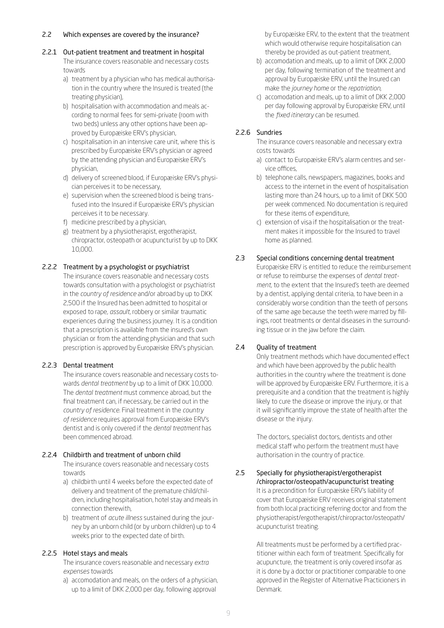#### 2.2 Which expenses are covered by the insurance?

#### 2.2.1 Out-patient treatment and treatment in hospital

The insurance covers reasonable and necessary costs towards

- a) treatment by a physician who has medical authorisation in the country where the Insured is treated (the treating physician),
- b) hospitalisation with accommodation and meals according to normal fees for semi-private (room with two beds) unless any other options have been approved by Europæiske ERV's physician,
- c) hospitalisation in an intensive care unit, where this is prescribed by Europæiske ERV's physician or agreed by the attending physician and Europæiske ERV's physician,
- d) delivery of screened blood, if Europæiske ERV's physician perceives it to be necessary,
- e) supervision when the screened blood is being transfused into the Insured if Europæiske ERV's physician perceives it to be necessary.
- f) medicine prescribed by a physician,
- g) treatment by a physiotherapist, ergotherapist, chiropractor, osteopath or acupuncturist by up to DKK 10,000.

## 2.2.2 Treatment by a psychologist or psychiatrist

The insurance covers reasonable and necessary costs towards consultation with a psychologist or psychiatrist in the *country of residence* and/or abroad by up to DKK 2,500 if the Insured has been admitted to hospital or exposed to rape, *assault*, robbery or similar traumatic experiences during the business journey. It is a condition that a prescription is available from the insured's own physician or from the attending physician and that such prescription is approved by Europæiske ERV's physician.

#### 2.2.3 Dental treatment

The insurance covers reasonable and necessary costs towards *dental treatment* by up to a limit of DKK 10,000. The *dental treatment* must commence abroad, but the final treatment can, if necessary, be carried out in the *country of residence*. Final treatment in the *country of residence* requires approval from Europæiske ERV's dentist and is only covered if the *dental treatment* has been commenced abroad.

#### 2.2.4 Childbirth and treatment of unborn child

The insurance covers reasonable and necessary costs towards

- a) childbirth until 4 weeks before the expected date of delivery and treatment of the premature child/children, including hospitalisation, hotel stay and meals in connection therewith,
- b) treatment of *acute illness* sustained during the journey by an unborn child (or by unborn children) up to 4 weeks prior to the expected date of birth.

#### 2.2.5 Hotel stays and meals

The insurance covers reasonable and necessary *extra expenses* towards

a) accomodation and meals, on the orders of a physician, up to a limit of DKK 2,000 per day, following approval

by Europæiske ERV, to the extent that the treatment which would otherwise require hospitalisation can thereby be provided as out-patient treatment,

- b) accomodation and meals, up to a limit of DKK 2,000 per day, following termination of the treatment and approval by Europæiske ERV, until the Insured can make the *journey home* or the *repatriation*,
- c) accomodation and meals, up to a limit of DKK 2,000 per day following approval by Europæiske ERV, until the *fixed itinerary* can be resumed.

# 2.2.6 Sundries

The insurance covers reasonable and necessary extra costs towards

- a) contact to Europæiske ERV's alarm centres and service offices,
- b) telephone calls, newspapers, magazines, books and access to the internet in the event of hospitalisation lasting more than 24 hours, up to a limit of DKK 500 per week commenced. No documentation is required for these items of expenditure,
- c) extension of visa if the hospitalisation or the treatment makes it impossible for the Insured to travel home as planned.

# 2.3 Special conditions concerning dental treatment

Europæiske ERV is entitled to reduce the reimbursement or refuse to reimburse the expenses of *dental treatment*, to the extent that the Insured's teeth are deemed by a dentist, applying dental criteria, to have been in a considerably worse condition than the teeth of persons of the same age because the teeth were marred by fillings, root treatments or dental diseases in the surrounding tissue or in the jaw before the claim.

# 2.4 Quality of treatment

Only treatment methods which have documented effect and which have been approved by the public health authorities in the country where the treatment is done will be approved by Europæiske ERV. Furthermore, it is a prerequisite and a condition that the treatment is highly likely to cure the disease or improve the injury, or that it will significantly improve the state of health after the disease or the injury.

The doctors, specialist doctors, dentists and other medical staff who perform the treatment must have authorisation in the country of practice.

## 2.5 Specially for physiotherapist/ergotherapist /chiropractor/osteopath/acupuncturist treating It is a precondition for Europæiske ERV's liability of cover that Europæiske ERV receives original statement from both local practicing referring doctor and from the physiotherapist/ergotherapist/chiropractor/osteopath/ acupuncturist treating.

All treatments must be performed by a certified practitioner within each form of treatment. Specifically for acupuncture, the treatment is only covered insofar as it is done by a doctor or practitioner comparable to one approved in the Register of Alternative Practicioners in Denmark.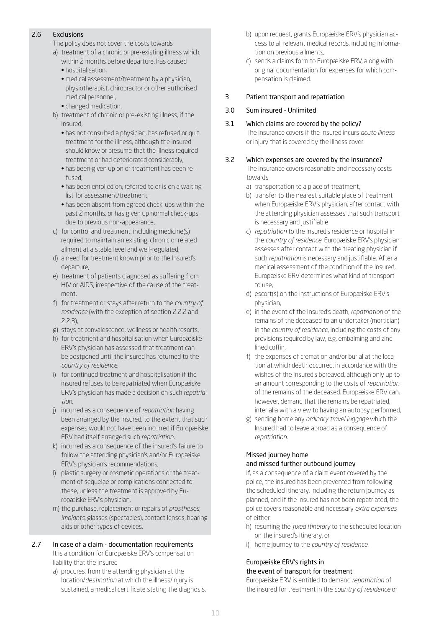# 2.6 Exclusions

The policy does not cover the costs towards

- a) treatment of a chronic or pre-existing illness which, within 2 months before departure, has caused
	- hospitalisation,
	- medical assessment/treatment by a physician, physiotherapist, chiropractor or other authorised medical personnel,
	- changed medication,
- b) treatment of chronic or pre-existing illness, if the Insured,
	- has not consulted a physician, has refused or quit treatment for the illness, although the insured should know or presume that the illness required treatment or had deteriorated considerably,
	- has been given up on or treatment has been refused,
	- has been enrolled on, referred to or is on a waiting list for assessment/treatment,
	- has been absent from agreed check-ups within the past 2 months, or has given up normal check-ups due to previous non-appearance,
- c) for control and treatment, including medicine(s) required to maintain an existing, chronic or related ailment at a stable level and well-regulated,
- d) a need for treatment known prior to the Insured's departure,
- e) treatment of patients diagnosed as suffering from HIV or AIDS, irrespective of the cause of the treatment,
- f) for treatment or stays after return to the *country of residence* (with the exception of section 2.2.2 and 2.2.3),
- g) stays at convalescence, wellness or health resorts,
- h) for treatment and hospitalisation when Europæiske ERV's physician has assessed that treatment can be postponed until the insured has returned to the *country of residence*,
- i) for continued treatment and hospitalisation if the insured refuses to be repatriated when Europæiske ERV's physician has made a decision on such *repatriation*,
- j) incurred as a consequence of *repatriation* having been arranged by the Insured, to the extent that such expenses would not have been incurred if Europæiske ERV had itself arranged such *repatriation*,
- k) incurred as a consequence of the insured's failure to follow the attending physician's and/or Europæiske ERV's physician's recommendations,
- l) plastic surgery or cosmetic operations or the treatment of sequelae or complications connected to these, unless the treatment is approved by Europæiske ERV's physician,
- m) the purchase, replacement or repairs of *prostheses*, *implants*, glasses (spectacles), contact lenses, hearing aids or other types of devices.
- 2.7 In case of a claim documentation requirements It is a condition for Europæiske ERV's compensation liability that the Insured
	- a) procures, from the attending physician at the location/*destination* at which the illness/injury is sustained, a medical certificate stating the diagnosis,
- b) upon request, grants Europæiske ERV's physician access to all relevant medical records, including information on previous ailments,
- c) sends a claims form to Europæiske ERV, along with original documentation for expenses for which compensation is claimed.

# <span id="page-9-0"></span>3 Patient transport and repatriation

# 3.0 Sum insured - Unlimited

3.1 Which claims are covered by the policy?

The insurance covers if the Insured incurs *acute illness* or injury that is covered by the Illness cover.

# 3.2 Which expenses are covered by the insurance?

The insurance covers reasonable and necessary costs towards

- a) transportation to a place of treatment,
- b) transfer to the nearest suitable place of treatment when Europæiske ERV's physician, after contact with the attending physician assesses that such transport is necessary and justifiable
- c) *repatriation* to the Insured's residence or hospital in the *country of residence*. Europæiske ERV's physician assesses after contact with the treating physician if such *repatriation* is necessary and justifiable. After a medical assessment of the condition of the Insured, Europæiske ERV determines what kind of transport to use,
- d) escort(s) on the instructions of Europæiske ERV's physician,
- e) in the event of the Insured's death, *repatriation* of the remains of the deceased to an undertaker (mortician) in the *country of residence*, including the costs of any provisions required by law, e.g. embalming and zinclined coffin,
- f) the expenses of cremation and/or burial at the location at which death occurred, in accordance with the wishes of the Insured's bereaved, although only up to an amount corresponding to the costs of *repatriation* of the remains of the deceased. Europæiske ERV can, however, demand that the remains be repatriated, inter alia with a view to having an autopsy performed,
- g) sending home any *ordinary travel luggage* which the Insured had to leave abroad as a consequence of *repatriation*.

# Missed journey home and missed further outbound journey

If, as a consequence of a claim event covered by the police, the insured has been prevented from following the scheduled itinerary, including the return journey as planned, and if the insured has not been repatriated, the police covers reasonable and necessary *extra expenses* of either

- h) resuming the *fixed itinerary* to the scheduled location on the insured's itinerary, or
- i) home journey to the *country of residence*.

# Europæiske ERV's rights in the event of transport for treatment

Europæiske ERV is entitled to demand *repatriation* of the insured for treatment in the *country of residence* or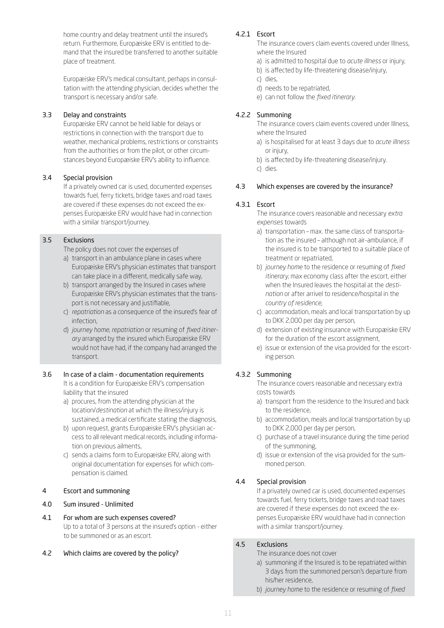home country and delay treatment until the insured's return. Furthermore, Europæiske ERV is entitled to demand that the insured be transferred to another suitable place of treatment.

Europæiske ERV's medical consultant, perhaps in consultation with the attending physician, decides whether the transport is necessary and/or safe.

# 3.3 Delay and constraints

Europæiske ERV cannot be held liable for delays or restrictions in connection with the transport due to weather, mechanical problems, restrictions or constraints from the authorities or from the pilot, or other circumstances beyond Europæiske ERV's ability to influence.

## 3.4 Special provision

If a privately owned car is used, documented expenses towards fuel, ferry tickets, bridge taxes and road taxes are covered if these expenses do not exceed the expenses Europæiske ERV would have had in connection with a similar transport/journey.

# 3.5 Exclusions

The policy does not cover the expenses of

- a) transport in an ambulance plane in cases where Europæiske ERV's physician estimates that transport can take place in a different, medically safe way,
- b) transport arranged by the Insured in cases where Europæiske ERV's physician estimates that the transport is not necessary and justifiable,
- c) *repatriation* as a consequence of the insured's fear of infection,
- d) *journey home*, *repatriation* or resuming of *fixed itinerary* arranged by the insured which Europæiske ERV would not have had, if the company had arranged the transport.

# 3.6 In case of a claim - documentation requirements It is a condition for Europæiske ERV's compensation

liability that the insured a) procures, from the attending physician at the

- location/*destination* at which the illness/injury is sustained, a medical certificate stating the diagnosis,
- b) upon request, grants Europæiske ERV's physician access to all relevant medical records, including information on previous ailments,
- c) sends a claims form to Europæiske ERV, along with original documentation for expenses for which compensation is claimed.

# <span id="page-10-0"></span>4 Escort and summoning

# 4.0 Sum insured - Unlimited

4.1 For whom are such expenses covered? Up to a total of 3 persons at the insured's option - either to be summoned or as an escort.

# 4.2 Which claims are covered by the policy?

## 4.2.1 Escort

The insurance covers claim events covered under Illness, where the Insured

- a) is admitted to hospital due to *acute illness* or injury,
- b) is affected by life-threatening disease/injury,
- c) dies,
- d) needs to be repatriated,
- e) can not follow the *fixed itinerary*.

# 4.2.2 Summoning

The insurance covers claim events covered under Illness, where the Insured

- a) is hospitalised for at least 3 days due to *acute illness* or injury,
- b) is affected by life-threatening disease/injury.
- c) dies.

## 4.3 Which expenses are covered by the insurance?

## 4.3.1 Escort

The insurance covers reasonable and necessary *extra expenses* towards

- a) transportation max. the same class of transportation as the insured – although not air-ambulance, if the insured is to be transported to a suitable place of treatment or repatriated,
- b) *journey home* to the residence or resuming of *fixed itinerary*, max economy class after the escort, either when the Insured leaves the hospital at the *destination* or after arrivel to residence/hospital in the *country of residence*,
- c) accommodation, meals and local transportation by up to DKK 2,000 per day per person,
- d) extension of existing insurance with Europæiske ERV for the duration of the escort assignment,
- e) issue or extension of the visa provided for the escorting person.

# 4.3.2 Summoning

The insurance covers reasonable and necessary extra costs towards

- a) transport from the residence to the Insured and back to the residence,
- b) accommodation, meals and local transportation by up to DKK 2,000 per day per person,
- c) purchase of a travel insurance during the time period of the summoning,
- d) issue or extension of the visa provided for the summoned person.

# 4.4 Special provision

If a privately owned car is used, documented expenses towards fuel, ferry tickets, bridge taxes and road taxes are covered if these expenses do not exceed the expenses Europæiske ERV would have had in connection with a similar transport/journey.

#### 4.5 Exclusions

#### The insurance does not cover

- a) summoning if the Insured is to be repatriated within 3 days from the summoned person's departure from his/her residence,
- b) *journey home* to the residence or resuming of *fixed*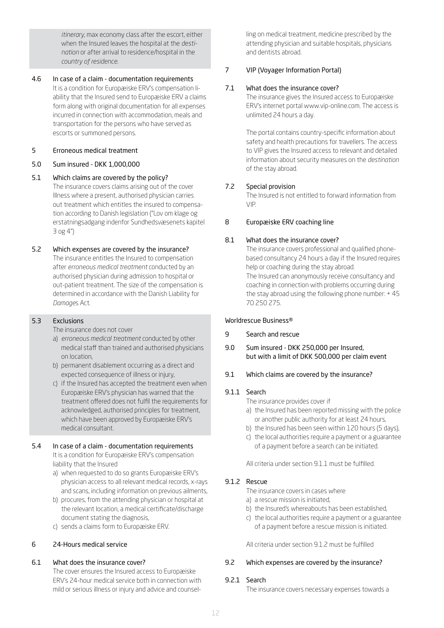*itinerary*, max economy class after the escort, either when the Insured leaves the hospital at the *destination* or after arrival to residence/hospital in the *country of residence*.

4.6 In case of a claim - documentation requirements It is a condition for Europæiske ERV's compensation liability that the Insured send to Europæiske ERV a claims form along with original documentation for all expenses incurred in connection with accommodation, meals and transportation for the persons who have served as escorts or summoned persons.

#### <span id="page-11-0"></span>5 Erroneous medical treatment

## 5.0 Sum insured - DKK 1,000,000

## 5.1 Which claims are covered by the policy? The insurance covers claims arising out of the cover Illness where a present, authorised physician carries out treatment which entitles the insured to compensation according to Danish legislation ("Lov om klage og erstatningsadgang indenfor Sundhedsvæsenets kapitel 3 og 4")

#### 5.2 Which expenses are covered by the insurance? The insurance entitles the Insured to compensation after *erroneous medical treatment* conducted by an authorised physician during admission to hospital or out-patient treatment. The size of the compensation is determined in accordance with the Danish Liability for

#### 5.3 Exclusions

*Damage*s Act.

The insurance does not cover

- a) *erroneous medical treatment* conducted by other medical staff than trained and authorised physicians on location,
- b) permanent disablement occurring as a direct and expected consequence of illness or injury,
- c) if the Insured has accepted the treatment even when Europæiske ERV's physician has warned that the treatment offered does not fulfil the requirements for acknowledged, authorised principles for treatment, which have been approved by Europæiske ERV's medical consultant.

# 5.4 In case of a claim - documentation requirements

It is a condition for Europæiske ERV's compensation liability that the Insured

- a) when requested to do so grants Europæiske ERV's physician access to all relevant medical records, x-rays and scans, including information on previous ailments,
- b) procures, from the attending physician or hospital at the relevant location, a medical certificate/discharge document stating the diagnosis,
- c) sends a claims form to Europæiske ERV.

# <span id="page-11-1"></span>6 24-Hours medical service

# 6.1 What does the insurance cover?

The cover ensures the Insured access to Europæiske ERV's 24-hour medical service both in connection with mild or serious illness or injury and advice and counselling on medical treatment, medicine prescribed by the attending physician and suitable hospitals, physicians and dentists abroad.

# <span id="page-11-2"></span>7 VIP (Voyager Information Portal)

# 7.1 What does the insurance cover?

The insurance gives the Insured access to Europæiske ERV's internet portal www.vip-online.com. The access is unlimited 24 hours a day.

The portal contains country-specific information about safety and health precautions for travellers. The access to VIP gives the Insured access to relevant and detailed information about security measures on the *destination* of the stay abroad.

# 7.2 Special provision

The Insured is not entitled to forward information from VIP.

## <span id="page-11-3"></span>8 Europæiske ERV coaching line

# 8.1 What does the insurance cover?

The insurance covers professional and qualified phonebased consultancy 24 hours a day if the Insured requires help or coaching during the stay abroad. The Insured can anonymously receive consultancy and coaching in connection with problems occurring during the stay abroad using the following phone number: + 45 70 250 275.

#### Worldrescue Business®

- <span id="page-11-4"></span>9 Search and rescue
- 9.0 Sum insured DKK 250,000 per Insured, but with a limit of DKK 500,000 per claim event
- 9.1 Which claims are covered by the insurance?

# 9.1.1 Search

- The insurance provides cover if
- a) the Insured has been reported missing with the police or another public authority for at least 24 hours,
- b) the Insured has been seen within 120 hours (5 days),
- c) the local authorities require a payment or a guarantee of a payment before a search can be initiated.

All criteria under section 9.1.1 must be fulfilled.

# 9.1.2 Rescue

The insurance covers in cases where

- a) a rescue mission is initiated,
- b) the Insured's whereabouts has been established,
- c) the local authorities require a payment or a guarantee of a payment before a rescue mission is initiated.

All criteria under section 9.1.2 must be fulfilled

# 9.2 Which expenses are covered by the insurance?

# 9.2.1 Search

The insurance covers necessary expenses towards a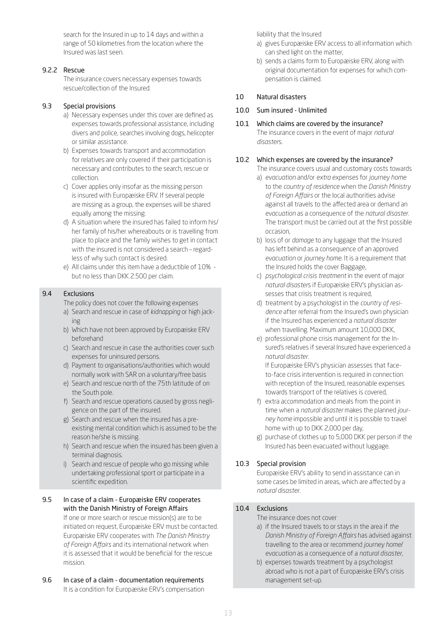search for the Insured in up to 14 days and within a range of 50 kilometres from the location where the Insured was last seen.

# 9.2.2 Rescue

The insurance covers necessary expenses towards rescue/collection of the Insured.

# 9.3 Special provisions

- a) Necessary expenses under this cover are defined as expenses towards professional assistance, including divers and police, searches involving dogs, helicopter or similar assistance.
- b) Expenses towards transport and accommodation for relatives are only covered if their participation is necessary and contributes to the search, rescue or collection.
- c) Cover applies only insofar as the missing person is insured with Europæiske ERV. If several people are missing as a group, the expenses will be shared equally among the missing.
- d) A situation where the insured has failed to inform his/ her family of his/her whereabouts or is travelling from place to place and the family wishes to get in contact with the insured is not considered a search – regardless of why such contact is desired.
- e) All claims under this item have a deductible of 10% but no less than DKK 2.500 per claim.

## 9.4 Exclusions

The policy does not cover the following expenses

- a) Search and rescue in case of *kidnapping* or high jacking
- b) Which have not been approved by Europæiske ERV beforehand
- c) Search and rescue in case the authorities cover such expenses for uninsured persons.
- d) Payment to organisations/authorities which would normally work with SAR on a voluntary/free basis
- e) Search and rescue north of the 75th latitude of on the South pole.
- f) Search and rescue operations caused by gross negligence on the part of the insured.
- g) Search and rescue when the insured has a preexisting mental condition which is assumed to be the reason he/she is missing.
- h) Search and rescue when the insured has been given a terminal diagnosis.
- i) Search and rescue of people who go missing while undertaking professional sport or participate in a scientific expedition.

# 9.5 In case of a claim - Europæiske ERV cooperates with the Danish Ministry of Foreign Affairs

- If one or more search or rescue mission(s) are to be initiated on request, Europæiske ERV must be contacted. Europæiske ERV cooperates with *The Danish Ministry of Foreign Affairs* and its international network when it is assessed that it would be beneficial for the rescue mission.
- 9.6 In case of a claim documentation requirements It is a condition for Europæiske ERV's compensation

liability that the Insured

- a) gives Europæiske ERV access to all information which can shed light on the matter,
- b) sends a claims form to Europæiske ERV, along with original documentation for expenses for which compensation is claimed.

# <span id="page-12-0"></span>10 Natural disasters

10.0 Sum insured - Unlimited

## 10.1 Which claims are covered by the insurance?

The insurance covers in the event of major *natural disaster*s.

## 10.2 Which expenses are covered by the insurance?

The insurance covers usual and customary costs towards

- a) *evacuation* and/or *extra expenses* for *journey home* to the *country of residence* when the *Danish Ministry of Foreign Affairs* or the local authorities advise against all travels to the affected area or demand an *evacuation* as a consequence of the *natural disaster*. The transport must be carried out at the first possible occasion,
- b) loss of or *damage* to any luggage that the Insured has left behind as a consequence of an approved *evacuation* or *journey home*. It is a requirement that the Insured holds the cover Baggage,
- c) *psychological crisis treatment* in the event of major *natural disaster*s if Europæiske ERV's physician assesses that crisis treatment is required,
- d) treatment by a psychologist in the *country of residence* after referral from the Insured's own physician if the Insured has experienced a *natural disaster* when travelling. Maximum amount 10,000 DKK,
- e) professional phone crisis management for the Insured's relatives if several Insured have experienced a *natural disaster*.

If Europæiske ERV's physician assesses that faceto-face crisis intervention is required in connection with reception of the Insured, reasonable expenses towards transport of the relatives is covered,

- f) extra accommodation and meals from the point in time when a *natural disaster* makes the planned *journey home* impossible and until it is possible to travel home with up to DKK 2,000 per day,
- g) purchase of clothes up to 5,000 DKK per person if the Insured has been evacuated without luggage.

# 10.3 Special provision

Europæiske ERV's ability to send in assistance can in some cases be limited in areas, which are affected by a *natural disaster*.

# 10.4 Exclusions

The insurance does not cover

- a) if the Insured travels to or stays in the area if *the Danish Ministry of Foreign Affairs* has advised against travelling to the area or recommend *journey home*/ *evacuation* as a consequence of a *natural disaster*,
- b) expenses towards treatment by a psychologist abroad who is not a part of Europæiske ERV's crisis management set-up.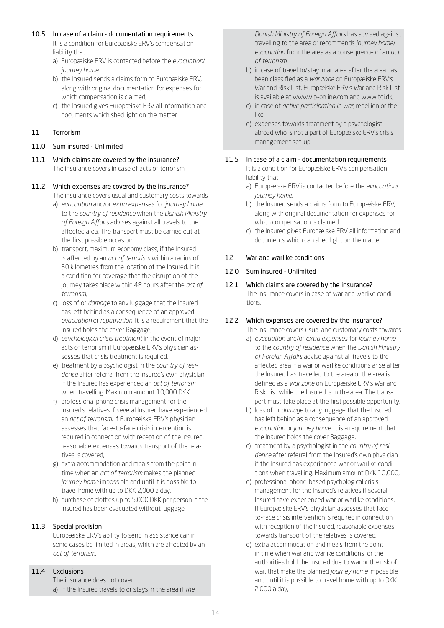- 10.5 In case of a claim documentation requirements It is a condition for Europæiske ERV's compensation
	- liability that a) Europæiske ERV is contacted before the *evacuation*/
	- *journey home*, b) the Insured sends a claims form to Europæiske ERV, along with original documentation for expenses for which compensation is claimed,
	- c) the Insured gives Europæiske ERV all information and documents which shed light on the matter.

# <span id="page-13-0"></span>11 Terrorism

- 11.0 Sum insured Unlimited
- 11.1 Which claims are covered by the insurance? The insurance covers in case of acts of terrorism.

# 11.2 Which expenses are covered by the insurance?

The insurance covers usual and customary costs towards

- a) *evacuation* and/or *extra expenses* for *journey home*  to the *country of residence* when the *Danish Ministry of Foreign Affairs* advises against all travels to the affected area. The transport must be carried out at the first possible occasion,
- b) transport, maximum economy class, if the Insured is affected by an *act of terrorism* within a radius of 50 kilometres from the location of the Insured. It is a condition for coverage that the disruption of the journey takes place within 48 hours after the *act of terrorism*,
- c) loss of or *damage* to any luggage that the Insured has left behind as a consequence of an approved *evacuation* or *repatriation*. It is a requirement that the Insured holds the cover Baggage,
- d) *psychological crisis treatment* in the event of major acts of terrorism if Europæiske ERV's physician assesses that crisis treatment is required,
- e) treatment by a psychologist in the *country of residence* after referral from the Insured's own physician if the Insured has experienced an *act of terrorism* when travelling. Maximum amount 10,000 DKK,
- f) professional phone crisis management for the Insured's relatives if several Insured have experienced an *act of terrorism*. If Europæiske ERV's physician assesses that face-to-face crisis intervention is required in connection with reception of the Insured, reasonable expenses towards transport of the relatives is covered,
- g) extra accommodation and meals from the point in time when an *act of terrorism* makes the planned *journey home* impossible and until it is possible to travel home with up to DKK 2,000 a day,
- h) purchase of clothes up to 5,000 DKK per person if the Insured has been evacuated without luggage.

# 11.3 Special provision

Europæiske ERV's ability to send in assistance can in some cases be limited in areas, which are affected by an *act of terrorism*.

# 11.4 Exclusions

The insurance does not cover a) if the Insured travels to or stays in the area if *the*  *Danish Ministry of Foreign Affairs* has advised against travelling to the area or recommends *journey home*/ *evacuation* from the area as a consequence of an *act of terrorism*,

- b) in case of travel to/stay in an area after the area has been classified as a *war zone* on Europæiske ERV's War and Risk List. Europæiske ERV's War and Risk List is available at www.vip-online.com and www.bti.dk,
- c) in case of *active participation in war*, rebellion or the like,
- d) expenses towards treatment by a psychologist abroad who is not a part of Europæiske ERV's crisis management set-up.

# 11.5 In case of a claim - documentation requirements

It is a condition for Europæiske ERV's compensation liability that

- a) Europæiske ERV is contacted before the *evacuation*/ *journey home*,
- b) the Insured sends a claims form to Europæiske ERV, along with original documentation for expenses for which compensation is claimed,
- c) the Insured gives Europæiske ERV all information and documents which can shed light on the matter.

# <span id="page-13-1"></span>12 War and warlike conditions

# 12.0 Sum insured - Unlimited

#### 12.1 Which claims are covered by the insurance? The insurance covers in case of war and warlike conditions.

# 12.2 Which expenses are covered by the insurance?

The insurance covers usual and customary costs towards

- a) *evacuation* and/or *extra expenses* for *journey home* to the *country of residence* when the *Danish Ministry of Foreign Affairs* advise against all travels to the affected area if a war or warlike conditions arise after the Insured has travelled to the area or the area is defined as a *war zone* on Europæiske ERV's War and Risk List while the Insured is in the area. The transport must take place at the first possible opportunity,
- b) loss of or *damage* to any luggage that the Insured has left behind as a consequence of an approved *evacuation* or *journey home*. It is a requirement that the Insured holds the cover Baggage,
- c) treatment by a psychologist in the *country of residence* after referral from the Insured's own physician if the Insured has experienced war or warlike conditions when travelling. Maximum amount DKK 10,000,
- d) professional phone-based psychological crisis management for the Insured's relatives if several Insured have experienced war or warlike conditions. If Europæiske ERV's physician assesses that faceto-face crisis intervention is required in connection with reception of the Insured, reasonable expenses towards transport of the relatives is covered,
- e) extra accommodation and meals from the point in time when war and warlike conditions or the authorities hold the Insured due to war or the risk of war, that make the planned *journey home* impossible and until it is possible to travel home with up to DKK 2,000 a day,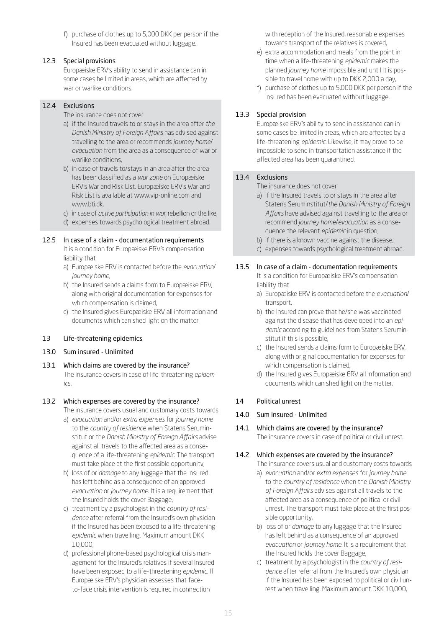f) purchase of clothes up to 5,000 DKK per person if the Insured has been evacuated without luggage.

# 12.3 Special provisions

Europæiske ERV's ability to send in assistance can in some cases be limited in areas, which are affected by war or warlike conditions.

# 12.4 Exclusions

- The insurance does not cover
- a) if the Insured travels to or stays in the area after *the Danish Ministry of Foreign Affairs* has advised against travelling to the area or recommends *journey home*/ *evacuation* from the area as a consequence of war or warlike conditions,
- b) in case of travels to/stays in an area after the area has been classified as a *war zone* on Europæiske ERV's War and Risk List. Europæiske ERV's War and Risk List is available at www.vip-online.com and www.bti.dk,
- c) in case of *active participation in war*, rebellion or the like,
- d) expenses towards psychological treatment abroad.

# 12.5 In case of a claim - documentation requirements

- It is a condition for Europæiske ERV's compensation liability that
- a) Europæiske ERV is contacted before the *evacuation*/ *journey home*,
- b) the Insured sends a claims form to Europæiske ERV, along with original documentation for expenses for which compensation is claimed,
- c) the Insured gives Europæiske ERV all information and documents which can shed light on the matter.

# <span id="page-14-0"></span>13 Life-threatening epidemics

- 13.0 Sum insured Unlimited
- 13.1 Which claims are covered by the insurance? The insurance covers in case of life-threatening *epidemic*s.

# 13.2 Which expenses are covered by the insurance?

The insurance covers usual and customary costs towards

- a) *evacuation* and/or *extra expenses* for *journey home* to the *country of residence* when Statens Seruminstitut or the *Danish Ministry of Foreign Affairs* advise against all travels to the affected area as a consequence of a life-threatening *epidemic*. The transport must take place at the first possible opportunity,
- b) loss of or *damage* to any luggage that the Insured has left behind as a consequence of an approved *evacuation* or *journey home*. It is a requirement that the Insured holds the cover Baggage,
- c) treatment by a psychologist in the *country of residence* after referral from the Insured's own physician if the Insured has been exposed to a life-threatening *epidemic* when travelling. Maximum amount DKK 10,000,
- d) professional phone-based psychological crisis management for the Insured's relatives if several Insured have been exposed to a life-threatening *epidemic*. If Europæiske ERV's physician assesses that faceto-face crisis intervention is required in connection

with reception of the Insured, reasonable expenses towards transport of the relatives is covered,

- e) extra accommodation and meals from the point in time when a life-threatening *epidemic* makes the planned *journey home* impossible and until it is possible to travel home with up to DKK 2,000 a day,
- f) purchase of clothes up to 5,000 DKK per person if the Insured has been evacuated without luggage.

# 13.3 Special provision

Europæiske ERV's ability to send in assistance can in some cases be limited in areas, which are affected by a life-threatening *epidemic*. Likewise, it may prove to be impossible to send in transportation assistance if the affected area has been quarantined.

# 13.4 Exclusions

The insurance does not cover

- a) if the Insured travels to or stays in the area after Statens Seruminstitut/*the Danish Ministry of Foreign Affairs* have advised against travelling to the area or recommend *journey home*/*evacuation* as a consequence the relevant *epidemic* in question,
- b) if there is a known vaccine against the disease,
- c) expenses towards psychological treatment abroad.

# 13.5 In case of a claim - documentation requirements

It is a condition for Europæiske ERV's compensation liability that

- a) Europæiske ERV is contacted before the *evacuation*/ transport,
- b) the Insured can prove that he/she was vaccinated against the disease that has developed into an *epidemic* according to guidelines from Statens Seruminstitut if this is possible,
- c) the Insured sends a claims form to Europæiske ERV, along with original documentation for expenses for which compensation is claimed,
- d) the Insured gives Europæiske ERV all information and documents which can shed light on the matter.

# <span id="page-14-1"></span>14 Political unrest

# 14.0 Sum insured - Unlimited

# 14.1 Which claims are covered by the insurance?

The insurance covers in case of political or civil unrest.

# 14.2 Which expenses are covered by the insurance?

The insurance covers usual and customary costs towards

- a) *evacuation* and/or *extra expenses* for *journey home* to the *country of residence* when the *Danish Ministry of Foreign Affairs* advises against all travels to the affected area as a consequence of political or civil unrest. The transport must take place at the first possible opportunity,
- b) loss of or *damage* to any luggage that the Insured has left behind as a consequence of an approved *evacuation* or *journey home*. It is a requirement that the Insured holds the cover Baggage,
- c) treatment by a psychologist in the *country of residence* after referral from the Insured's own physician if the Insured has been exposed to political or civil unrest when travelling. Maximum amount DKK 10,000,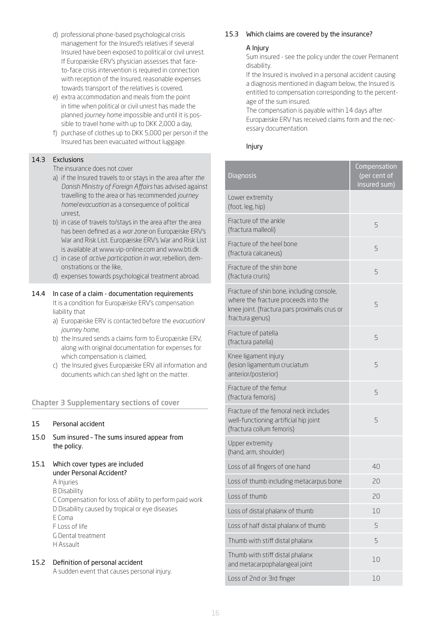- d) professional phone-based psychological crisis management for the Insured's relatives if several Insured have been exposed to political or civil unrest. If Europæiske ERV's physician assesses that faceto-face crisis intervention is required in connection with reception of the Insured, reasonable expenses towards transport of the relatives is covered,
- e) extra accommodation and meals from the point in time when political or civil unrest has made the planned *journey home* impossible and until it is possible to travel home with up to DKK 2,000 a day,
- f) purchase of clothes up to DKK 5,000 per person if the Insured has been evacuated without luggage.

# 14.3 Exclusions

The insurance does not cover

- a) if the Insured travels to or stays in the area after *the Danish Ministry of Foreign Affairs* has advised against travelling to the area or has recommended *journey home*/*evacuation* as a consequence of political unrest,
- b) in case of travels to/stays in the area after the area has been defined as a *war zone* on Europæiske ERV's War and Risk List. Europæiske ERV's War and Risk List is available at www.vip-online.com and www.bti.dk
- c) in case of *active participation in war*, rebellion, demonstrations or the like,
- d) expenses towards psychological treatment abroad.

# 14.4 In case of a claim - documentation requirements

It is a condition for Europæiske ERV's compensation liability that

- a) Europæiske ERV is contacted before the *evacuation*/ *journey home*,
- b) the Insured sends a claims form to Europæiske ERV, along with original documentation for expenses for which compensation is claimed,
- c) the Insured gives Europæiske ERV all information and documents which can shed light on the matter.

# Chapter 3 Supplementary sections of cover

# 15 Personal accident

- 15.0 Sum insured The sums insured appear from the policy.
- 15.1 Which cover types are included under Personal Accident?

A Injuries

B Disability C Compensation for loss of ability to perform paid work D Disability caused by tropical or eye diseases E Coma F Loss of life G Dental treatment H Assault

# 15.2 Definition of personal accident

A sudden event that causes personal injury.

## <span id="page-15-0"></span>15.3 Which claims are covered by the insurance?

## A Injury

Sum insured - see the policy under the cover Permanent disability.

If the Insured is involved in a personal accident causing a diagnosis mentioned in diagram below, the Insured is entitled to compensation corresponding to the percentage of the sum insured.

The compensation is payable within 14 days after Europæiske ERV has received claims form and the necessary documentation.

#### Injury

| <b>Diagnosis</b>                                                                                                                                      | Compensation<br>(per cent of<br>insured sum) |
|-------------------------------------------------------------------------------------------------------------------------------------------------------|----------------------------------------------|
| Lower extremity<br>(foot, leg, hip)                                                                                                                   |                                              |
| Fracture of the ankle<br>(fractura malleoli)                                                                                                          | 5                                            |
| Fracture of the heel bone<br>(fractura calcaneus)                                                                                                     | 5                                            |
| Fracture of the shin bone<br>(fractura cruris)                                                                                                        | 5                                            |
| Fracture of shin bone, including console,<br>where the fracture proceeds into the<br>knee joint. (fractura pars proximalis crus or<br>fractura genus) | 5                                            |
| Fracture of patella<br>(fractura patella)                                                                                                             | 5                                            |
| Knee ligament injury<br>(lesion ligamentum cruciatum<br>anterior/posterior)                                                                           | 5                                            |
| Fracture of the femur<br>(fractura femoris)                                                                                                           | 5                                            |
| Fracture of the femoral neck includes<br>well-functioning artificial hip joint<br>(fractura collum femoris)                                           | 5                                            |
| Upper extremity<br>(hand, arm, shoulder)                                                                                                              |                                              |
| Loss of all fingers of one hand                                                                                                                       | 40                                           |
| Loss of thumb including metacarpus bone                                                                                                               | 20                                           |
| Loss of thumb                                                                                                                                         | 20                                           |
| Loss of distal phalanx of thumb                                                                                                                       | 10                                           |
| Loss of half distal phalanx of thumb                                                                                                                  | 5                                            |
| Thumb with stiff distal phalanx                                                                                                                       | 5                                            |
| Thumb with stiff distal phalanx<br>and metacarpophalangeal joint                                                                                      | 10                                           |
| Loss of 2nd or 3rd finger                                                                                                                             | 10                                           |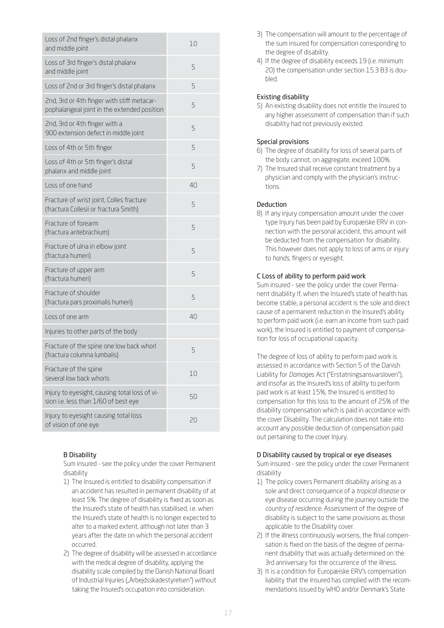| Loss of 2nd finger's distal phalanx<br>and middle joint                                   | 10 |
|-------------------------------------------------------------------------------------------|----|
| Loss of 3rd finger's distal phalanx<br>and middle joint                                   | 5  |
| Loss of 2nd or 3rd finger's distal phalanx                                                | 5  |
| 2nd, 3rd or 4th finger with stiff metacar-<br>pophalangeal joint in the extended position | 5  |
| 2nd, 3rd or 4th finger with a<br>900 extension defect in middle joint                     | 5  |
| Loss of 4th or 5th finger                                                                 | 5  |
| Loss of 4th or 5th finger's distal<br>phalanx and middle joint                            | 5  |
| Loss of one hand                                                                          | 40 |
| Fracture of wrist joint, Colles fracture<br>(fractura Collesii or fractura Smith)         | 5  |
| Fracture of forearm<br>(fractura antebrachium)                                            | 5  |
| Fracture of ulna in elbow joint<br>(fractura humeri)                                      | 5  |
| Fracture of upper arm<br>(fractura humeri)                                                | 5  |
| Fracture of shoulder<br>(fractura pars proximalis humeri)                                 | 5  |
| Loss of one arm                                                                           | 40 |
| Injuries to other parts of the body                                                       |    |
| Fracture of the spine one low back whorl<br>(fractura columna lumbalis)                   | 5  |
| Fracture of the spine<br>several low back whorls                                          | 10 |
| Injury to eyesight, causing total loss of vi-<br>sion i.e. less than 1/60 of best eye     | 50 |
| Injury to eyesight causing total loss<br>of vision of one eye                             | 20 |

# <span id="page-16-0"></span>B Disability

Sum insured - see the policy under the cover Permanent disability

- 1) The Insured is entitled to disability compensation if an accident has resulted in permanent disability of at least 5%. The degree of disability is fixed as soon as the Insured's state of health has stabilised, i.e. when the Insured's state of health is no longer expected to alter to a marked extent, although not later than 3 years after the date on which the personal accident occurred.
- 2) The degree of disability will be assessed in accordance with the medical degree of disability, applying the disability scale compiled by the Danish National Board of Industrial Injuries ("Arbejdsskadestyrelsen") without taking the Insured's occupation into consideration.
- 3) The compensation will amount to the percentage of the sum insured for compensation corresponding to the degree of disability.
- 4) If the degree of disability exceeds 19 (i.e. minimum 20) the compensation under section 15.3 B3 is doubled.

# Existing disability

5) An existing disability does not entitle the Insured to any higher assessment of compensation than if such disability had not previously existed.

# Special provisions

- 6) The degree of disability for loss of several parts of the body cannot, on aggregate, exceed 100%.
- 7) The Insured shall receive constant treatment by a physician and comply with the physician's instructions.

# Deduction

8) If any injury compensation amount under the cover type Injury has been paid by Europæiske ERV in connection with the personal accident, this amount will be deducted from the compensation for disability. This however does not apply to loss of arms or injury to *hands*, fingers or eyesight.

# <span id="page-16-1"></span>C Loss of ability to perform paid work

Sum insured - see the policy under the cover Permanent disability If, when the Insured's state of health has become stable, a personal accident is the sole and direct cause of a permanent reduction in the Insured's ability to perform paid work (i.e. earn an income from such paid work), the Insured is entitled to payment of compensation for loss of occupational capacity.

The degree of loss of ability to perform paid work is assessed in accordance with Section 5 of the Danish Liability for *Damage*s Act ("Erstatningsansvarsloven"), and insofar as the Insured's loss of ability to perform paid work is at least 15%, the Insured is entitled to compensation for this loss to the amount of 25% of the disability compensation which is paid in accordance with the cover Disability. The calculation does not take into account any possible deduction of compensation paid out pertaining to the cover Injury.

# <span id="page-16-2"></span>D Disability caused by tropical or eye diseases

Sum insured - see the policy under the cover Permanent disability

- 1) The policy covers Permanent disability arising as a sole and direct consequence of a *tropical disease* or eye disease occurring during the journey outside the *country of residence*. Assessment of the degree of disability is subject to the same provisions as those applicable to the Disability cover.
- 2) If the illness continuously worsens, the final compensation is fixed on the basis of the degree of permanent disability that was actually determined on the 3rd anniversary for the occurrence of the illness.
- 3) It is a condition for Europæiske ERV's compensation liability that the Insured has complied with the recommendations issued by WHO and/or Denmark's State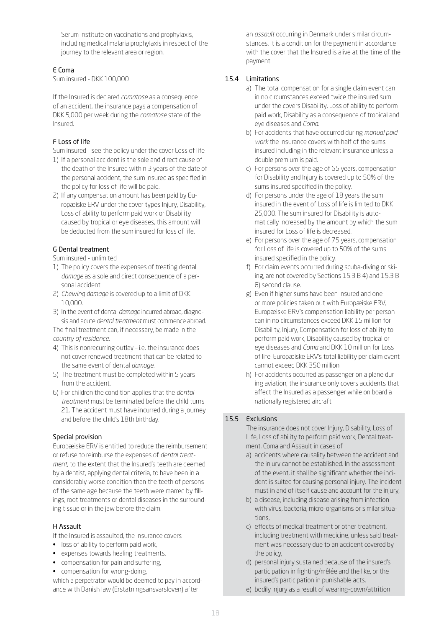Serum Institute on vaccinations and prophylaxis, including medical malaria prophylaxis in respect of the journey to the relevant area or region.

## <span id="page-17-0"></span>E Coma

Sum insured - DKK 100,000

If the Insured is declared *comatose* as a consequence of an accident, the insurance pays a compensation of DKK 5,000 per week during the *comatose* state of the Insured.

# <span id="page-17-1"></span>F Loss of life

Sum insured - see the policy under the cover Loss of life

- 1) If a personal accident is the sole and direct cause of the death of the Insured within 3 years of the date of the personal accident, the sum insured as specified in the policy for loss of life will be paid.
- 2) If any compensation amount has been paid by Europæiske ERV under the cover types Injury, Disability, Loss of ability to perform paid work or Disability caused by tropical or eye diseases, this amount will be deducted from the sum insured for loss of life.

# <span id="page-17-2"></span>G Dental treatment

Sum insured - unlimited

- 1) The policy covers the expenses of treating dental *damage* as a sole and direct consequence of a personal accident.
- 2) *Chewing damage* is covered up to a limit of DKK 10,000.
- 3) In the event of dental *damage* incurred abroad, diagnosis and acute *dental treatment* must commence abroad. The final treatment can, if necessary, be made in the *country of residence*.
- 4) This is nonrecurring outlay i.e. the insurance does not cover renewed treatment that can be related to the same event of dental *damage*.
- 5) The treatment must be completed within 5 years from the accident.
- 6) For children the condition applies that the *dental treatment* must be terminated before the child turns 21. The accident must have incurred during a journey and before the child's 18th birthday.

# Special provision

Europæiske ERV is entitled to reduce the reimbursement or refuse to reimburse the expenses of *dental treatment*, to the extent that the Insured's teeth are deemed by a dentist, applying dental criteria, to have been in a considerably worse condition than the teeth of persons of the same age because the teeth were marred by fillings, root treatments or dental diseases in the surrounding tissue or in the jaw before the claim.

# <span id="page-17-3"></span>H Assault

If the Insured is assaulted, the insurance covers

- loss of ability to perform paid work,
- expenses towards healing treatments,
- compensation for pain and suffering,
- compensation for wrong-doing,

which a perpetrator would be deemed to pay in accordance with Danish law (Erstatningsansvarsloven) after

an *assault* occurring in Denmark under similar circumstances. It is a condition for the payment in accordance with the cover that the Insured is alive at the time of the payment.

# 15.4 Limitations

- a) The total compensation for a single claim event can in no circumstances exceed twice the insured sum under the covers Disability, Loss of ability to perform paid work, Disability as a consequence of tropical and eye diseases and *Coma*.
- b) For accidents that have occurred during *manual paid work* the insurance covers with half of the sums insured including in the relevant insurance unless a double premium is paid.
- c) For persons over the age of 65 years, compensation for Disability and Injury is covered up to 50% of the sums insured specified in the policy.
- d) For persons under the age of 18 years the sum insured in the event of Loss of life is limited to DKK 25,000. The sum insured for Disability is automatically increased by the amount by which the sum insured for Loss of life is decreased.
- e) For persons over the age of 75 years, compensation for Loss of life is covered up to 50% of the sums insured specified in the policy.
- f) For claim events occurred during scuba-diving or skiing, are not covered by Sections 15.3 B 4) and 15.3 B 8) second clause.
- g) Even if higher sums have been insured and one or more policies taken out with Europæiske ERV, Europæiske ERV's compensation liability per person can in no circumstances exceed DKK 15 million for Disability, Injury, Compensation for loss of ability to perform paid work, Disability caused by tropical or eye diseases and *Coma* and DKK 10 million for Loss of life. Europæiske ERV's total liability per claim event cannot exceed DKK 350 million.
- h) For accidents occurred as passenger on a plane during aviation, the insurance only covers accidents that affect the Insured as a passenger while on board a nationally registered aircraft.

# 15.5 Exclusions

The insurance does not cover Injury, Disability, Loss of Life, Loss of ability to perform paid work, Dental treatment, Coma and Assault in cases of

- a) accidents where causality between the accident and the injury cannot be established. In the assessment of the event, it shall be significant whether the incident is suited for causing personal injury. The incident must in and of itself cause and account for the injury,
- b) a disease, including disease arising from infection with virus, bacteria, micro-organisms or similar situations,
- c) effects of medical treatment or other treatment, including treatment with medicine, unless said treatment was necessary due to an accident covered by the policy,
- d) personal injury sustained because of the insured's participation in fighting/mêlée and the like, or the insured's participation in punishable acts,
- e) bodily injury as a result of wearing-down/attrition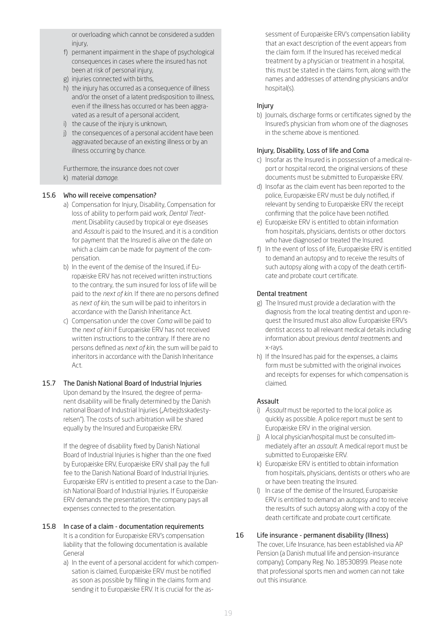or overloading which cannot be considered a sudden injury,

- f) permanent impairment in the shape of psychological consequences in cases where the insured has not been at risk of personal injury,
- g) injuries connected with births,
- h) the injury has occurred as a consequence of illness and/or the onset of a latent predisposition to illness, even if the illness has occurred or has been aggravated as a result of a personal accident,
- i) the cause of the injury is unknown,
- j) the consequences of a personal accident have been aggravated because of an existing illness or by an illness occurring by chance.

Furthermore, the insurance does not cover k) material *damage*.

# 15.6 Who will receive compensation?

- a) Compensation for Injury, Disability, Compensation for loss of ability to perform paid work, *Dental Treatment*, Disability caused by tropical or eye diseases and *Assault* is paid to the Insured, and it is a condition for payment that the Insured is alive on the date on which a claim can be made for payment of the compensation.
- b) In the event of the demise of the Insured, if Europæiske ERV has not received written instructions to the contrary, the sum insured for loss of life will be paid to the *next of kin*. If there are no persons defined as *next of kin*, the sum will be paid to inheritors in accordance with the Danish lnheritance Act.
- c) Compensation under the cover *Coma* will be paid to the *next of kin* if Europæiske ERV has not received written instructions to the contrary. If there are no persons defined as *next of kin*, the sum will be paid to inheritors in accordance with the Danish lnheritance  $Art$
- 15.7 The Danish National Board of Industrial Injuries Upon demand by the Insured, the degree of permanent disability will be finally determined by the Danish national Board of Industrial Injuries ("Arbejdsskadestyrelsen"). The costs of such arbitration will be shared equally by the Insured and Europæiske ERV.

If the degree of disability fixed by Danish National Board of Industrial Injuries is higher than the one fixed by Europæiske ERV, Europæiske ERV shall pay the full fee to the Danish National Board of Industrial Injuries. Europæiske ERV is entitled to present a case to the Danish National Board of Industrial Injuries. If Europæiske ERV demands the presentation, the company pays all expenses connected to the presentation.

#### 15.8 In case of a claim - documentation requirements It is a condition for Europæiske ERV's compensation liability that the following documentation is available General

a) In the event of a personal accident for which compensation is claimed, Europæiske ERV must be notified as soon as possible by filling in the claims form and sending it to Europæiske ERV. It is crucial for the assessment of Europæiske ERV's compensation liability that an exact description of the event appears from the claim form. If the Insured has received medical treatment by a physician or treatment in a hospital, this must be stated in the claims form, along with the names and addresses of attending physicians and/or hospital(s).

# Injury

b) Journals, discharge forms or certificates signed by the Insured's physician from whom one of the diagnoses in the scheme above is mentioned.

## Injury, Disability, Loss of life and Coma

- c) Insofar as the Insured is in possession of a medical report or hospital record, the original versions of these documents must be submitted to Europæiske ERV.
- d) Insofar as the claim event has been reported to the police, Europæiske ERV must be duly notified, if relevant by sending to Europæiske ERV the receipt confirming that the police have been notified.
- e) Europæiske ERV is entitled to obtain information from hospitals, physicians, dentists or other doctors who have diagnosed or treated the Insured.
- f) In the event of loss of life, Europæiske ERV is entitled to demand an autopsy and to receive the results of such autopsy along with a copy of the death certificate and probate court certificate.

# Dental treatment

- g) The Insured must provide a declaration with the diagnosis from the local treating dentist and upon request the Insured must also allow Europæiske ERV's dentist access to all relevant medical details including information about previous *dental treatment*s and x-rays.
- h) If the Insured has paid for the expenses, a claims form must be submitted with the original invoices and receipts for expenses for which compensation is claimed.

# Assault

- i) *Assault* must be reported to the local police as quickly as possible. A police report must be sent to Europæiske ERV in the original version.
- j) A local physician/hospital must be consulted immediately after an *assault*. A medical report must be submitted to Europæiske ERV.
- k) Europæiske ERV is entitled to obtain information from hospitals, physicians, dentists or others who are or have been treating the Insured.
- l) In case of the demise of the Insured, Europæiske ERV is entitled to demand an autopsy and to receive the results of such autopsy along with a copy of the death certificate and probate court certificate.

# 16 Life insurance - permanent disability (Illness)

The cover, Life Insurance, has been established via AP Pension (a Danish mutual life and pension-insurance company); Company Reg. No. 18530899. Please note that professional sports men and women can not take out this insurance.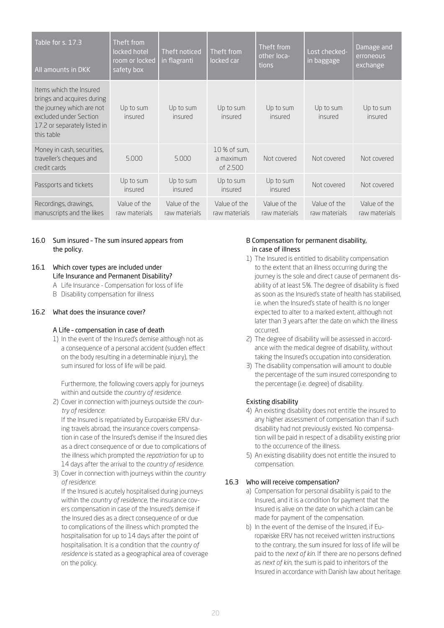| Table for s. 17.3<br>All amounts in DKK                                                                                                                    | Theft from<br>locked hotel<br>room or locked<br>safety box | Theft noticed<br>in flagranti | Theft from<br>locked car              | Theft from<br>other loca-<br>tions | Lost checked-<br>in baggage   | Damage and<br>erroneous<br>exchange |
|------------------------------------------------------------------------------------------------------------------------------------------------------------|------------------------------------------------------------|-------------------------------|---------------------------------------|------------------------------------|-------------------------------|-------------------------------------|
| Items which the Insured<br>brings and acquires during<br>the journey which are not<br>excluded under Section<br>17.2 or separately listed in<br>this table | Up to sum<br>insured                                       | Up to sum<br>insured          | Up to sum<br>insured                  | Up to sum<br>insured               | Up to sum<br>insured          | Up to sum<br>insured                |
| Money in cash, securities,<br>traveller's cheques and<br>credit cards                                                                                      | 5.000                                                      | 5.000                         | 10 % of sum,<br>a maximum<br>of 2.500 | Not covered                        | Not covered                   | Not covered                         |
| Passports and tickets                                                                                                                                      | Up to sum<br>insured                                       | Up to sum<br>insured          | Up to sum<br>insured                  | Up to sum<br>insured               | Not covered                   | Not covered                         |
| Recordings, drawings,<br>manuscripts and the likes                                                                                                         | Value of the<br>raw materials                              | Value of the<br>raw materials | Value of the<br>raw materials         | Value of the<br>raw materials      | Value of the<br>raw materials | Value of the<br>raw materials       |

## 16.0 Sum insured – The sum insured appears from the policy.

# 16.1 Which cover types are included under Life Insurance and Permanent Disability?

- A Life Insurance Compensation for loss of life
- B Disability compensation for illness

# <span id="page-19-0"></span>16.2 What does the insurance cover?

# A Life – compensation in case of death

1) In the event of the Insured's demise although not as a consequence of a personal accident (sudden effect on the body resulting in a determinable injury), the sum insured for loss of life will be paid.

 Furthermore, the following covers apply for journeys within and outside the *country of residence*.

2) Cover in connection with journeys outside the *country of residence*:

 If the Insured is repatriated by Europæiske ERV during travels abroad, the insurance covers compensation in case of the Insured's demise if the Insured dies as a direct consequence of or due to complications of the illness which prompted the *repatriation* for up to 14 days after the arrival to the *country of residence*.

3) Cover in connection with journeys within the *country of residence*:

 If the Insured is acutely hospitalised during journeys within the *country of residence*, the insurance covers compensation in case of the Insured's demise if the Insured dies as a direct consequence of or due to complications of the illness which prompted the hospitalisation for up to 14 days after the point of hospitalisation. It is a condition that the *country of residence* is stated as a geographical area of coverage on the policy.

# <span id="page-19-1"></span>B Compensation for permanent disability, in case of illness

- 1) The Insured is entitled to disability compensation to the extent that an illness occurring during the journey is the sole and direct cause of permanent disability of at least 5%. The degree of disability is fixed as soon as the Insured's state of health has stabilised, i.e. when the Insured's state of health is no longer expected to alter to a marked extent, although not later than 3 years after the date on which the illness occurred.
- 2) The degree of disability will be assessed in accordance with the medical degree of disability, without taking the Insured's occupation into consideration.
- 3) The disability compensation will amount to double the percentage of the sum insured corresponding to the percentage (i.e. degree) of disability.

# Existing disability

- 4) An existing disability does not entitle the insured to any higher assessment of compensation than if such disability had not previously existed. No compensation will be paid in respect of a disability existing prior to the occurrence of the illness.
- 5) An existing disability does not entitle the insured to compensation.

# 16.3 Who will receive compensation?

- a) Compensation for personal disability is paid to the Insured, and it is a condition for payment that the Insured is alive on the date on which a claim can be made for payment of the compensation.
- b) In the event of the demise of the Insured, if Europæiske ERV has not received written instructions to the contrary, the sum insured for loss of life will be paid to the *next of kin*. If there are no persons defined as *next of kin*, the sum is paid to inheritors of the Insured in accordance with Danish law about heritage.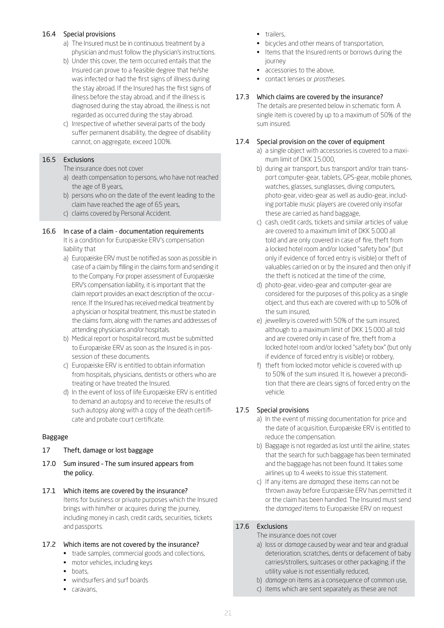## 16.4 Special provisions

- a) The Insured must be in continuous treatment by a physician and must follow the physician's instructions.
- b) Under this cover, the term occurred entails that the Insured can prove to a feasible degree that he/she was infected or had the first signs of illness during the stay abroad. If the Insured has the first signs of illness before the stay abroad, and if the illness is diagnosed during the stay abroad, the illness is not regarded as occurred during the stay abroad.
- c) Irrespective of whether several parts of the body suffer permanent disability, the degree of disability cannot, on aggregate, exceed 100%.

# 16.5 Exclusions

The insurance does not cover

- a) death compensation to persons, who have not reached the age of 8 years,
- b) persons who on the date of the event leading to the claim have reached the age of 65 years,
- c) claims covered by Personal Accident.

# 16.6 In case of a claim - documentation requirements

It is a condition for Europæiske ERV's compensation liability that

- a) Europæiske ERV must be notified as soon as possible in case of a claim by filling in the claims form and sending it to the Company. For proper assessment of Europæiske ERV's compensation liability, it is important that the claim report provides an exact description of the occurrence. If the Insured has received medical treatment by a physician or hospital treatment, this must be stated in the claims form, along with the names and addresses of attending physicians and/or hospitals.
- b) Medical report or hospital record, must be submitted to Europæiske ERV as soon as the Insured is in possession of these documents.
- c) Europæiske ERV is entitled to obtain information from hospitals, physicians, dentists or others who are treating or have treated the Insured.
- d) In the event of loss of life Europæiske ERV is entitled to demand an autopsy and to receive the results of such autopsy along with a copy of the death certificate and probate court certificate.

# Baggage

# <span id="page-20-0"></span>17 Theft, damage or lost baggage

- 17.0 Sum insured The sum insured appears from the policy.
- 17.1 Which items are covered by the insurance? Items for business or private purposes which the Insured brings with him/her or acquires during the journey, including money in cash, credit cards, securities, tickets and passports.

# 17.2 Which items are not covered by the insurance?

- trade samples, commercial goods and collections,
- motor vehicles, including keys
- boats,
- windsurfers and surf boards
- caravans,
- trailers,
- bicycles and other means of transportation,
- Items that the Insured rents or borrows during the journey
- accessories to the above,
- contact lenses or *prostheses*.

# 17.3 Which claims are covered by the insurance?

The details are presented below in schematic form. A single item is covered by up to a maximum of 50% of the sum insured.

# 17.4 Special provision on the cover of equipment

- a) a single object with accessories is covered to a maximum limit of DKK 15.000,
- b) during air transport, bus transport and/or train transport computer-gear, tablets, GPS-gear, mobile phones, watches, glasses, sunglasses, diving computers, photo-gear, video-gear as well as audio-gear, including portable music players are covered only insofar these are carried as hand baggage,
- c) cash, credit cards, tickets and similar articles of value are covered to a maximum limit of DKK 5.000 all told and are only covered in case of fire, theft from a locked hotel room and/or locked "safety box" (but only if evidence of forced entry is visible) or theft of valuables carried on or by the insured and then only if the theft is noticed at the time of the crime,
- d) photo-gear, video-gear and computer-gear are considered for the purposes of this policy as a single object, and thus each are covered with up to 50% of the sum insured,
- e) *jewellery* is covered with 50% of the sum insured, although to a maximum limit of DKK 15.000 all told and are covered only in case of fire, theft from a locked hotel room and/or locked "safety box" (but only if evidence of forced entry is visible) or robbery,
- f) theft from locked motor vehicle is covered with up to 50% of the sum insured. It is, however a precondition that there are clears signs of forced entry on the vehicle.

# 17.5 Special provisions

- a) In the event of missing documentation for price and the date of acquisition, Europæiske ERV is entitled to reduce the compensation.
- b) Baggage is not regarded as lost until the airline, states that the search for such baggage has been terminated and the baggage has not been found. It takes some airlines up to 4 weeks to issue this statement.
- c) If any items are *damaged*, these items can not be thrown away before Europæiske ERV has permitted it or the claim has been handled. The Insured must send the *damaged* items to Europæiske ERV on request

# 17.6 Exclusions

#### The insurance does not cover

- a) loss or *damage* caused by wear and tear and gradual deterioration, scratches, dents or defacement of baby carries/strollers, suitcases or other packaging, if the utility value is not essentially reduced,
- b) *damage* on items as a consequence of common use,
- c) items which are sent separately as these are not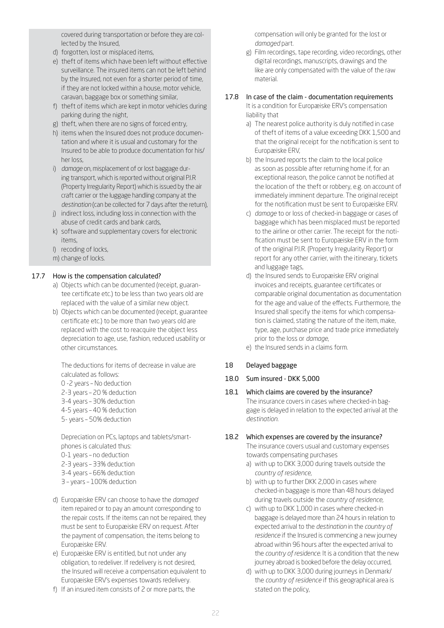covered during transportation or before they are collected by the Insured,

- d) forgotten, lost or misplaced items,
- e) theft of items which have been left without effective surveillance. The insured items can not be left behind by the Insured, not even for a shorter period of time, if they are not locked within a house, motor vehicle, caravan, baggage box or something similar,
- f) theft of items which are kept in motor vehicles during parking during the night,
- g) theft, when there are no signs of forced entry,
- h) items when the Insured does not produce documentation and where it is usual and customary for the Insured to be able to produce documentation for his/ her loss,
- i) *damage* on, misplacement of or lost baggage during transport, which is reported without original P.I.R (Property Irregularity Report) which is issued by the air craft carrier or the luggage handling company at the *destination* (can be collected for 7 days after the return),
- j) indirect loss, including loss in connection with the abuse of credit cards and bank cards,
- k) software and supplementary covers for electronic items,
- l) recoding of locks,
- m) change of locks.

# 17.7 How is the compensation calculated?

- a) Objects which can be documented (receipt, guarantee certificate etc.) to be less than two years old are replaced with the value of a similar new object.
- b) Objects which can be documented (receipt, guarantee certificate etc.) to be more than two years old are replaced with the cost to reacquire the object less depreciation to age, use, fashion, reduced usability or other circumstances.

The deductions for items of decrease in value are calculated as follows:

- 0 -2 years No deduction
- 2-3 years 20 % deduction
- 3-4 years 30% deduction
- 4-5 years 40 % deduction
- 5- years 50% deduction

 Depreciation on PCs, laptops and tablets/smartphones is calculated thus: 0-1 years – no deduction 2-3 years – 33% deduction 3-4 years – 66% deduction 3 – years – 100% deduction

- d) Europæiske ERV can choose to have the *damaged* item repaired or to pay an amount corresponding to the repair costs. If the items can not be repaired, they must be sent to Europæiske ERV on request. After the payment of compensation, the items belong to Europæiske ERV.
- e) Europæiske ERV is entitled, but not under any obligation, to redeliver. If redelivery is not desired, the Insured will receive a compensation equivalent to Europæiske ERV's expenses towards redelivery.
- f) If an insured item consists of 2 or more parts, the

compensation will only be granted for the lost or *damaged* part.

g) Film recordings, tape recording, video recordings, other digital recordings, manuscripts, drawings and the like are only compensated with the value of the raw material.

# 17.8 In case of the claim - documentation requirements

It is a condition for Europæiske ERV's compensation liability that

- a) The nearest police authority is duly notified in case of theft of items of a value exceeding DKK 1,500 and that the original receipt for the notification is sent to Europæiske ERV,
- b) the Insured reports the claim to the local police as soon as possible after returning home if, for an exceptional reason, the police cannot be notified at the location of the theft or robbery, e.g. on account of immediately imminent departure. The original receipt for the notification must be sent to Europæiske ERV.
- c) *damage* to or loss of checked-in baggage or cases of baggage which has been misplaced must be reported to the airline or other carrier. The receipt for the notification must be sent to Europæiske ERV in the form of the original P.I.R. (Property Irregularity Report) or report for any other carrier, with the itinerary, tickets and luggage tags,
- d) the Insured sends to Europæiske ERV original invoices and receipts, guarantee certificates or comparable original documentation as documentation for the age and value of the effects. Furthermore, the Insured shall specify the items for which compensation is claimed, stating the nature of the item, make, type, age, purchase price and trade price immediately prior to the loss or *damage*,
- e) the Insured sends in a claims form.

# <span id="page-21-0"></span>18 Delayed baggage

# 18.0 Sum insured - DKK 5,000

# 18.1 Which claims are covered by the insurance?

The insurance covers in cases where checked-in baggage is delayed in relation to the expected arrival at the *destination*.

# 18.2 Which expenses are covered by the insurance?

The insurance covers usual and customary expenses towards compensating purchases

- a) with up to DKK 3,000 during travels outside the *country of residence*,
- b) with up to further DKK 2,000 in cases where checked-in baggage is more than 48 hours delayed during travels outside the *country of residence*,
- c) with up to DKK 1,000 in cases where checked-in baggage is delayed more than 24 hours in relation to expected arrival to the *destination* in the *country of residence* if the Insured is commencing a new journey abroad within 96 hours after the expected arrival to the *country of residence*. It is a condition that the new journey abroad is booked before the delay occurred,
- d) with up to DKK 3,000 during journeys in Denmark/ the *country of residence* if this geographical area is stated on the policy,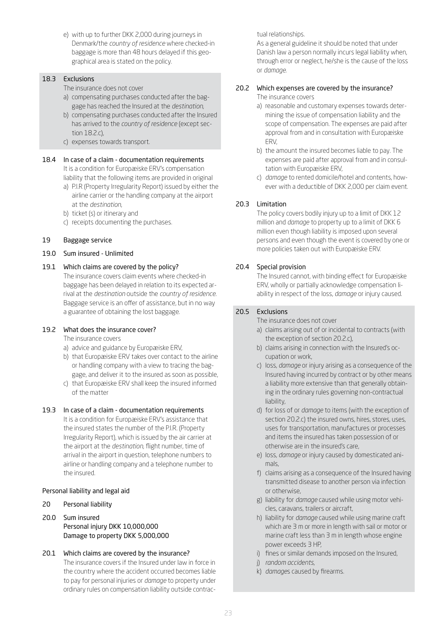e) with up to further DKK 2,000 during journeys in Denmark/the *country of residence* where checked-in baggage is more than 48 hours delayed if this geographical area is stated on the policy.

# 18.3 Exclusions

- The insurance does not cover
- a) compensating purchases conducted after the baggage has reached the Insured at the *destination*,
- b) compensating purchases conducted after the Insured has arrived to the *country of residence* (except section 18.2.c),
- c) expenses towards transport.

# 18.4 In case of a claim - documentation requirements

It is a condition for Europæiske ERV's compensation liability that the following items are provided in original

- a) P.I.R (Property Irregularity Report) issued by either the airline carrier or the handling company at the airport at the *destination*,
- b) ticket (s) or itinerary and
- c) receipts documenting the purchases.

# <span id="page-22-0"></span>19 Baggage service

19.0 Sum insured - Unlimited

# 19.1 Which claims are covered by the policy?

The insurance covers claim events where checked-in baggage has been delayed in relation to its expected arrival at the *destination* outside the *country of residence*. Baggage service is an offer of assistance, but in no way a guarantee of obtaining the lost baggage.

# 19.2 What does the insurance cover?

The insurance covers

- a) advice and guidance by Europæiske ERV,
- b) that Europæiske ERV takes over contact to the airline or handling company with a view to tracing the baggage, and deliver it to the insured as soon as possible,
- c) that Europæiske ERV shall keep the insured informed of the matter

# 19.3 In case of a claim - documentation requirements

It is a condition for Europæiske ERV's assistance that the insured states the number of the P.I.R. (Property Irregularity Report), which is issued by the air carrier at the airport at the *destination*, flight number, time of arrival in the airport in question, telephone numbers to airline or handling company and a telephone number to the insured.

# Personal liability and legal aid

- <span id="page-22-1"></span>20 Personal liability
- 20.0 Sum insured Personal injury DKK 10,000,000 Damage to property DKK 5,000,000
- 20.1 Which claims are covered by the insurance? The insurance covers if the Insured under law in force in the country where the accident occurred becomes liable to pay for personal injuries or *damage* to property under ordinary rules on compensation liability outside contrac-

## tual relationships.

As a general guideline it should be noted that under Danish law a person normally incurs legal liability when, through error or neglect, he/she is the cause of the loss or *damage*.

# 20.2 Which expenses are covered by the insurance?

The insurance covers

- a) reasonable and customary expenses towards determining the issue of compensation liability and the scope of compensation. The expenses are paid after approval from and in consultation with Europæiske ERV,
- b) the amount the insured becomes liable to pay. The expenses are paid after approval from and in consultation with Europæiske ERV,
- c) *damage* to rented domicile/hotel and contents, however with a deductible of DKK 2,000 per claim event.

# 20.3 Limitation

The policy covers bodily injury up to a limit of DKK 12 million and *damage* to property up to a limit of DKK 6 million even though liability is imposed upon several persons and even though the event is covered by one or more policies taken out with Europæiske ERV.

# 20.4 Special provision

The Insured cannot, with binding effect for Europæiske ERV, wholly or partially acknowledge compensation liability in respect of the loss, *damage* or injury caused.

# 20.5 Exclusions

The insurance does not cover

- a) claims arising out of or incidental to contracts (with the exception of section 20.2.c),
- b) claims arising in connection with the Insured's occupation or work,
- c) loss, *damage* or injury arising as a consequence of the Insured having incurred by contract or by other means a liability more extensive than that generally obtaining in the ordinary rules governing non-contractual liability,
- d) for loss of or *damage* to items (with the exception of section 20.2.c) the insured owns, hires, stores, uses, uses for transportation, manufactures or processes and items the insured has taken possession of or otherwise are in the insured's care,
- e) loss, *damage* or injury caused by domesticated animals,
- f) claims arising as a consequence of the Insured having transmitted disease to another person via infection or otherwise,
- g) liability for *damage* caused while using motor vehicles, caravans, trailers or aircraft,
- h) liability for *damage* caused while using marine craft which are 3 m or more in length with sail or motor or marine craft less than 3 m in length whose engine power exceeds 3 HP,
- i) fines or similar demands imposed on the Insured,
- j) *random accidents*,
- k) *damage*s caused by firearms.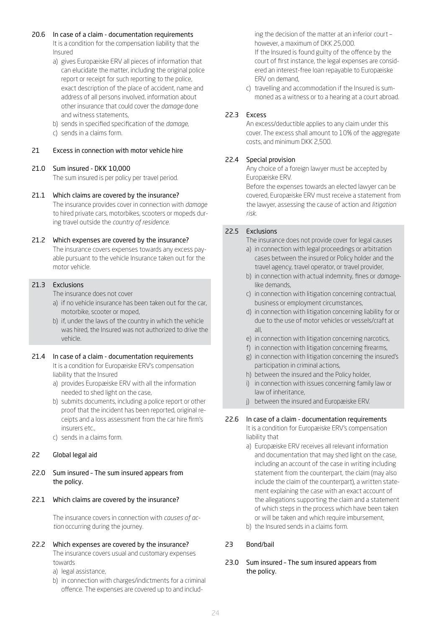#### 20.6 In case of a claim - documentation requirements

It is a condition for the compensation liability that the Insured

- a) gives Europæiske ERV all pieces of information that can elucidate the matter, including the original police report or receipt for such reporting to the police, exact description of the place of accident, name and address of all persons involved, information about other insurance that could cover the *damage* done and witness statements,
- b) sends in specified specification of the *damage*,
- c) sends in a claims form.

## <span id="page-23-0"></span>21 Excess in connection with motor vehicle hire

## 21.0 Sum insured - DKK 10,000

The sum insured is per policy per travel period.

## 21.1 Which claims are covered by the insurance?

The insurance provides cover in connection with *damage* to hired private cars, motorbikes, scooters or mopeds during travel outside the *country of residence*.

## 21.2 Which expenses are covered by the insurance?

The insurance covers expenses towards any excess payable pursuant to the vehicle Insurance taken out for the motor vehicle.

## 21.3 Exclusions

The insurance does not cover

- a) if no vehicle insurance has been taken out for the car, motorbike, scooter or moped,
- b) if, under the laws of the country in which the vehicle was hired, the Insured was not authorized to drive the vehicle.

# 21.4 In case of a claim - documentation requirements

It is a condition for Europæiske ERV's compensation liability that the Insured

- a) provides Europæiske ERV with all the information needed to shed light on the case,
- b) submits documents, including a police report or other proof that the incident has been reported, original receipts and a loss assessment from the car hire firm's insurers etc.,
- c) sends in a claims form.

# <span id="page-23-1"></span>22 Global legal aid

22.0 Sum insured – The sum insured appears from the policy.

# 22.1 Which claims are covered by the insurance?

The insurance covers in connection with *causes of action* occurring during the journey.

# 22.2 Which expenses are covered by the insurance?

The insurance covers usual and customary expenses towards

a) legal assistance,

b) in connection with charges/indictments for a criminal offence. The expenses are covered up to and including the decision of the matter at an inferior court – however, a maximum of DKK 25,000. If the Insured is found guilty of the offence by the court of first instance, the legal expenses are considered an interest-free loan repayable to Europæiske ERV on demand,

c) travelling and accommodation if the Insured is summoned as a witness or to a hearing at a court abroad.

# 22.3 Excess

An excess/deductible applies to any claim under this cover. The excess shall amount to 10% of the aggregate costs, and minimum DKK 2,500.

# 22.4 Special provision

Any choice of a foreign lawyer must be accepted by Europæiske ERV.

Before the expenses towards an elected lawyer can be covered, Europæiske ERV must receive a statement from the lawyer, assessing the cause of action and *litigation risk*.

## 22.5 Exclusions

The insurance does not provide cover for legal causes

- a) in connection with legal proceedings or arbitration cases between the insured or Policy holder and the travel agency, travel operator, or travel provider,
- b) in connection with actual indemnity, fines or *damage*like demands,
- c) in connection with litigation concerning contractual, business or employment circumstances,
- d) in connection with litigation concerning liability for or due to the use of motor vehicles or vessels/craft at all,
- e) in connection with litigation concerning narcotics,
- f) in connection with litigation concerning firearms,
- g) in connection with litigation concerning the insured's participation in criminal actions,
- h) between the insured and the Policy holder,
- i) in connection with issues concerning family law or law of inheritance,
- j) between the insured and Europæiske ERV.

# 22.6 In case of a claim - documentation requirements

It is a condition for Europæiske ERV's compensation liability that

- a) Europæiske ERV receives all relevant information and documentation that may shed light on the case, including an account of the case in writing including statement from the counterpart, the claim (may also include the claim of the counterpart), a written statement explaining the case with an exact account of the allegations supporting the claim and a statement of which steps in the process which have been taken or will be taken and which require imbursement,
- b) the Insured sends in a claims form.

# <span id="page-23-2"></span>23 Bond/bail

23.0 Sum insured – The sum insured appears from the policy.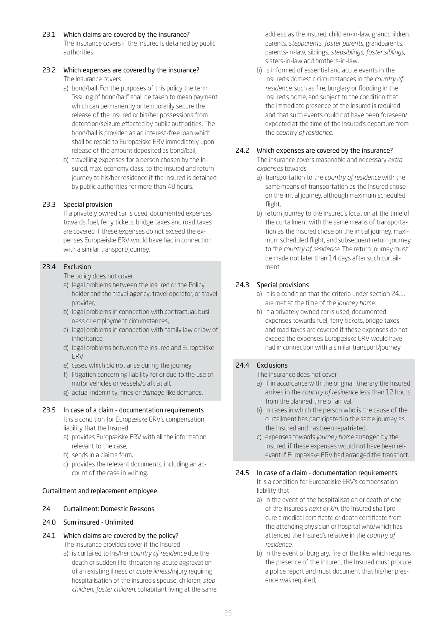23.1 Which claims are covered by the insurance? The insurance covers if the Insured is detained by public authorities.

#### 23.2 Which expenses are covered by the insurance? The Insurance covers

- a) bond/bail. For the purposes of this policy the term "issuing of bond/bail" shall be taken to mean payment which can permanently or temporarily secure the release of the Insured or his/her possessions from detention/seizure effected by public authorities. The bond/bail is provided as an interest-free loan which shall be repaid to Europæiske ERV immediately upon release of the amount deposited as bond/bail,
- b) travelling expenses for a person chosen by the Insured, max. economy class, to the Insured and return journey to his/her residence if the Insured is detained by public authorities for more than 48 hours.

# 23.3 Special provision

If a privately owned car is used, documented expenses towards fuel, ferry tickets, bridge taxes and road taxes are covered if these expenses do not exceed the expenses Europæiske ERV would have had in connection with a similar transport/journey.

# 23.4 Exclusion

The policy does not cover

- a) legal problems between the insured or the Policy holder and the travel agency, travel operator, or travel provider,
- b) legal problems in connection with contractual, business or employment circumstances,
- c) legal problems in connection with family law or law of inheritance,
- d) legal problems between the insured and Europæiske ERV
- e) cases which did not arise during the journey,
- f) litigation concerning liability for or due to the use of motor vehicles or vessels/craft at all,
- g) actual indemnity, fines or *damage*-like demands.

# 23.5 In case of a claim - documentation requirements

It is a condition for Europæiske ERV's compensation liability that the Insured

- a) provides Europæiske ERV with all the information relevant to the case,
- b) sends in a claims form,
- c) provides the relevant documents, including an account of the case in writing.

#### Curtailment and replacement employee

#### <span id="page-24-0"></span>24 Curtailment: Domestic Reasons

- 24.0 Sum insured Unlimited
- 24.1 Which claims are covered by the policy? The insurance provides cover if the Insured
	- a) is curtailed to his/her *country of residence* due the death or sudden life-threatening acute aggravation of an existing illness or *acute illness*/injury requiring hospitalisation of the insured's spouse, children, *stepchildren*, *foster children*, cohabitant living at the same

address as the insured, children-in-law, grandchildren, parents, *stepparents*, *foster parents*, grandparents, parents-in-law, siblings, *stepsiblings*, *foster siblings*, sisters-in-law and brothers-in-law,

b) is informed of essential and acute events in the Insured's domestic circumstances in the *country of residence*, such as fire, burglary or flooding in the Insured's home, and subject to the condition that the immediate presence of the Insured is required and that such events could not have been foreseen/ expected at the time of the Insured's departure from the *country of residence*.

## 24.2 Which expenses are covered by the insurance?

The insurance covers reasonable and necessary *extra expenses* towards

- a) transportation to the *country of residence* with the same means of transportation as the Insured chose on the initial journey, although maximum scheduled flight,
- b) return journey to the insured's location at the time of the curtailment with the same means of transportation as the Insured chose on the initial journey, maximum scheduled flight, and subsequent return journey to the *country of residence*. The return journey must be made not later than 14 days after such curtailment.

# 24.3 Special provisions

- a) It is a condition that the criteria under section 24.1. are met at the time of the *journey home*.
- b) If a privately owned car is used, documented expenses towards fuel, ferry tickets, bridge taxes and road taxes are covered if these expenses do not exceed the expenses Europæiske ERV would have had in connection with a similar transport/journey.

# 24.4 Exclusions

The insurance does not cover

- a) if in accordance with the original itinerary the Insured arrives in the *country of residence* less than 12 hours from the planned time of arrival,
- b) in cases in which the person who is the cause of the curtailment has participated in the same journey as the Insured and has been repatriated,
- c) expenses towards *journey home* arranged by the Insured, if these expenses would not have been relevant if Europæiske ERV had arranged the transport.

# 24.5 In case of a claim - documentation requirements

It is a condition for Europæiske ERV's compensation liability that

- a) in the event of the hospitalisation or death of one of the Insured's *next of kin*, the Insured shall procure a medical certificate or death certificate from the attending physician or hospital who/which has attended the Insured's relative in the *country of residence*,
- b) in the event of burglary, fire or the like, which requires the presence of the Insured, the Insured must procure a police report and must document that his/her presence was required,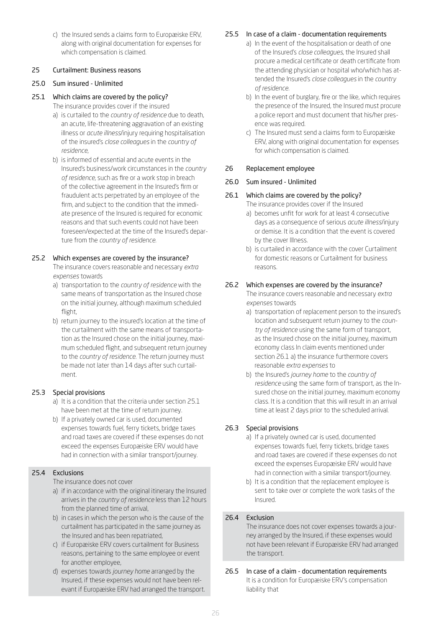c) the Insured sends a claims form to Europæiske ERV, along with original documentation for expenses for which compensation is claimed.

# <span id="page-25-0"></span>25 Curtailment: Business reasons

## 25.0 Sum insured - Unlimited

# 25.1 Which claims are covered by the policy?

The insurance provides cover if the insured

- a) is curtailed to the *country of residence* due to death, an acute, life-threatening aggravation of an existing illness or *acute illness*/injury requiring hospitalisation of the insured's *close colleagues* in the *country of residence*,
- b) is informed of essential and acute events in the Insured's business/work circumstances in the *country of residence*, such as fire or a work stop in breach of the collective agreement in the Insured's firm or fraudulent acts perpetrated by an employee of the firm, and subject to the condition that the immediate presence of the Insured is required for economic reasons and that such events could not have been foreseen/expected at the time of the Insured's departure from the *country of residence*.

# 25.2 Which expenses are covered by the insurance?

The insurance covers reasonable and necessary *extra expenses* towards

- a) transportation to the *country of residence* with the same means of transportation as the Insured chose on the initial journey, although maximum scheduled flight,
- b) return journey to the insured's location at the time of the curtailment with the same means of transportation as the Insured chose on the initial journey, maximum scheduled flight, and subsequent return journey to the *country of residence*. The return journey must be made not later than 14 days after such curtailment.

# 25.3 Special provisions

- a) It is a condition that the criteria under section 25.1 have been met at the time of return journey.
- b) If a privately owned car is used, documented expenses towards fuel, ferry tickets, bridge taxes and road taxes are covered if these expenses do not exceed the expenses Europæiske ERV would have had in connection with a similar transport/journey.

# 25.4 Exclusions

The insurance does not cover

- a) if in accordance with the original itinerary the Insured arrives in the *country of residence* less than 12 hours from the planned time of arrival,
- b) in cases in which the person who is the cause of the curtailment has participated in the same journey as the Insured and has been repatriated,
- c) if Europæiske ERV covers curtailment for Business reasons, pertaining to the same employee or event for another employee,
- d) expenses towards *journey home* arranged by the Insured, if these expenses would not have been relevant if Europæiske ERV had arranged the transport.

# 25.5 In case of a claim - documentation requirements

- a) In the event of the hospitalisation or death of one of the Insured's *close colleagues*, the Insured shall procure a medical certificate or death certificate from the attending physician or hospital who/which has attended the Insured's *close colleagues* in the *country of residence*.
- b) In the event of burglary, fire or the like, which requires the presence of the Insured, the Insured must procure a police report and must document that his/her presence was required.
- c) The Insured must send a claims form to Europæiske ERV, along with original documentation for expenses for which compensation is claimed.

# <span id="page-25-1"></span>26 Replacement employee

26.0 Sum insured - Unlimited

# 26.1 Which claims are covered by the policy?

- The insurance provides cover if the Insured
	- a) becomes unfit for work for at least 4 consecutive days as a consequence of serious *acute illness*/injury or demise. It is a condition that the event is covered by the cover Illness.
	- b) is curtailed in accordance with the cover Curtailment for domestic reasons or Curtailment for business reasons.

# 26.2 Which expenses are covered by the insurance?

The insurance covers reasonable and necessary *extra expenses* towards

- a) transportation of replacement person to the insured's location and subsequent return journey to the *country of residence* using the same form of transport, as the Insured chose on the initial journey, maximum economy class In claim events mentioned under section 26.1 a) the insurance furthermore covers reasonable *extra expenses* to
- b) the Insured's *journey home* to the *country of residence* using the same form of transport, as the Insured chose on the initial journey, maximum economy class. It is a condition that this will result in an arrival time at least 2 days prior to the scheduled arrival.

# 26.3 Special provisions

- a) If a privately owned car is used, documented expenses towards fuel, ferry tickets, bridge taxes and road taxes are covered if these expenses do not exceed the expenses Europæiske ERV would have had in connection with a similar transport/journey.
- b) It is a condition that the replacement employee is sent to take over or complete the work tasks of the Insured.

# 26.4 Exclusion

The insurance does not cover expenses towards a journey arranged by the Insured, if these expenses would not have been relevant if Europæiske ERV had arranged the transport.

26.5 In case of a claim - documentation requirements It is a condition for Europæiske ERV's compensation liability that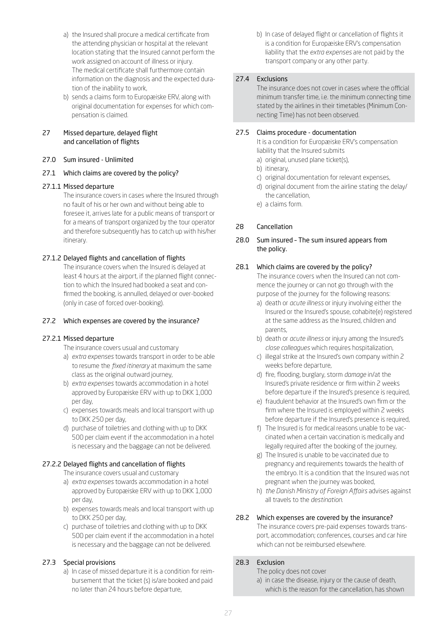- a) the Insured shall procure a medical certificate from the attending physician or hospital at the relevant location stating that the Insured cannot perform the work assigned on account of illness or injury. The medical certificate shall furthermore contain information on the diagnosis and the expected duration of the inability to work,
- b) sends a claims form to Europæiske ERV, along with original documentation for expenses for which compensation is claimed.

# <span id="page-26-0"></span>27 Missed departure, delayed flight and cancellation of flights

- 27.0 Sum insured Unlimited
- 27.1 Which claims are covered by the policy?

# 27.1.1 Missed departure

The insurance covers in cases where the Insured through no fault of his or her own and without being able to foresee it, arrives late for a public means of transport or for a means of transport organized by the tour operator and therefore subsequently has to catch up with his/her itinerary.

# 27.1.2 Delayed flights and cancellation of flights

The insurance covers when the Insured is delayed at least 4 hours at the airport, if the planned flight connection to which the Insured had booked a seat and confirmed the booking, is annulled, delayed or over-booked (only in case of forced over-booking).

#### 27.2 Which expenses are covered by the insurance?

#### 27.2.1 Missed departure

The insurance covers usual and customary

- a) *extra expenses* towards transport in order to be able to resume the *fixed itinerary* at maximum the same class as the original outward journey,
- b) *extra expenses* towards accommodation in a hotel approved by Europæiske ERV with up to DKK 1,000 per day,
- c) expenses towards meals and local transport with up to DKK 250 per day,
- d) purchase of toiletries and clothing with up to DKK 500 per claim event if the accommodation in a hotel is necessary and the baggage can not be delivered.

# 27.2.2 Delayed flights and cancellation of flights

The insurance covers usual and customary

- a) *extra expenses* towards accommodation in a hotel approved by Europæiske ERV with up to DKK 1,000 per day,
- b) expenses towards meals and local transport with up to DKK 250 per day,
- c) purchase of toiletries and clothing with up to DKK 500 per claim event if the accommodation in a hotel is necessary and the baggage can not be delivered.

# 27.3 Special provisions

a) In case of missed departure it is a condition for reimbursement that the ticket (s) is/are booked and paid no later than 24 hours before departure,

b) In case of delayed flight or cancellation of flights it is a condition for Europæiske ERV's compensation liability that the *extra expenses* are not paid by the transport company or any other party.

## 27.4 Exclusions

The insurance does not cover in cases where the official minimum transfer time, i.e. the minimum connecting time stated by the airlines in their timetables (Minimum Connecting Time) has not been observed.

## 27.5 Claims procedure - documentation

It is a condition for Europæiske ERV's compensation liability that the Insured submits

- a) original, unused plane ticket(s),
- b) itinerary,
- c) original documentation for relevant expenses,
- d) original document from the airline stating the delay/ the cancellation,
- e) a claims form.

# <span id="page-26-1"></span>28 Cancellation

## 28.0 Sum insured – The sum insured appears from the policy.

# 28.1 Which claims are covered by the policy?

The insurance covers when the Insured can not commence the journey or can not go through with the purpose of the journey for the following reasons:

- a) death or *acute illness* or injury involving either the Insured or the Insured's spouse, cohabite(e) registered at the same address as the Insured, children and parents,
- b) death or *acute illness* or injury among the Insured's *close colleagues* which requires hospitalization,
- c) illegal strike at the Insured's own company within 2 weeks before departure,
- d) fire, flooding, burglary, storm *damage* in/at the Insured's private residence or firm within 2 weeks before departure if the Insured's presence is required,
- e) fraudulent behavior at the Insured's own firm or the firm where the Insured is employed within 2 weeks before departure if the Insured's presence is required,
- f) The Insured is for medical reasons unable to be vaccinated when a certain vaccination is medically and legally required after the booking of the journey,
- g) The Insured is unable to be vaccinated due to pregnancy and requirements towards the health of the embryo. It is a condition that the Insured was not pregnant when the journey was booked,
- h) *the Danish Ministry of Foreign Affairs* advises against all travels to the *destination*.

#### 28.2 Which expenses are covered by the insurance?

The insurance covers pre-paid expenses towards transport, accommodation; conferences, courses and car hire which can not be reimbursed elsewhere.

# 28.3 Exclusion

The policy does not cover

a) in case the disease, injury or the cause of death, which is the reason for the cancellation, has shown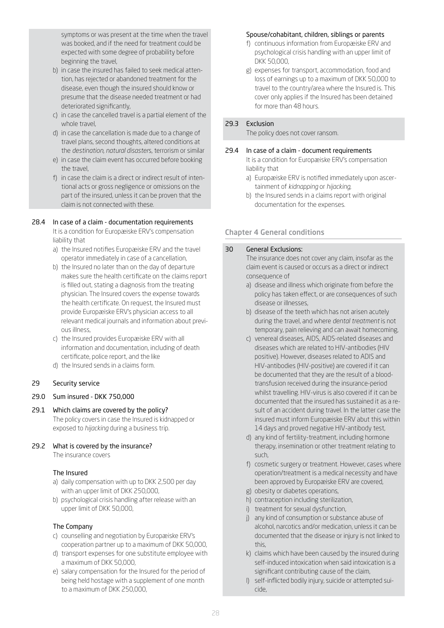symptoms or was present at the time when the travel was booked, and if the need for treatment could be expected with some degree of probability before beginning the travel,

- b) in case the insured has failed to seek medical attention, has rejected or abandoned treatment for the disease, even though the insured should know or presume that the disease needed treatment or had deteriorated significantly,
- c) in case the cancelled travel is a partial element of the whole travel,
- d) in case the cancellation is made due to a change of travel plans, second thoughts, altered conditions at the *destination*, *natural disaster*s, terrorism or similar
- e) in case the claim event has occurred before booking the travel,
- f) in case the claim is a direct or indirect result of intentional acts or gross negligence or omissions on the part of the insured, unless it can be proven that the claim is not connected with these.

## 28.4 In case of a claim - documentation requirements

It is a condition for Europæiske ERV's compensation liability that

- a) the Insured notifies Europæiske ERV and the travel operator immediately in case of a cancellation,
- b) the Insured no later than on the day of departure makes sure the health certificate on the claims report is filled out, stating a diagnosis from the treating physician. The Insured covers the expense towards the health certificate. On request, the Insured must provide Europæiske ERV's physician access to all relevant medical journals and information about previous illness,
- c) the Insured provides Europæiske ERV with all information and documentation, including of death certificate, police report, and the like
- d) the Insured sends in a claims form.

# <span id="page-27-0"></span>29 Security service

# 29.0 Sum insured - DKK 750,000

29.1 Which claims are covered by the policy? The policy covers in case the Insured is kidnapped or exposed to *hijacking* during a business trip.

# 29.2 What is covered by the insurance?

The insurance covers

# The Insured

- a) daily compensation with up to DKK 2,500 per day with an upper limit of DKK 250,000,
- b) psychological crisis handling after release with an upper limit of DKK 50,000,

# The Company

- c) counselling and negotiation by Europæiske ERV's cooperation partner up to a maximum of DKK 50,000,
- d) transport expenses for one substitute employee with a maximum of DKK 50,000,
- e) salary compensation for the Insured for the period of being held hostage with a supplement of one month to a maximum of DKK 250,000,

#### Spouse/cohabitant, children, siblings or parents

- f) continuous information from Europæiske ERV and psychological crisis handling with an upper limit of DKK 50,000,
- g) expenses for transport, accommodation, food and loss of earnings up to a maximum of DKK 50,000 to travel to the country/area where the Insured is. This cover only applies if the Insured has been detained for more than 48 hours.

#### 29.3 Exclusion

The policy does not cover ransom.

#### 29.4 In case of a claim - document requirements

- It is a condition for Europæiske ERV's compensation liability that
- a) Europæiske ERV is notified immediately upon ascertainment of *kidnapping* or *hijacking*,
- b) the Insured sends in a claims report with original documentation for the expenses.

# Chapter 4 General conditions

#### <span id="page-27-1"></span>30 General Exclusions:

The insurance does not cover any claim, insofar as the claim event is caused or occurs as a direct or indirect consequence of

- a) disease and illness which originate from before the policy has taken effect, or are consequences of such disease or illnesses,
- b) disease of the teeth which has not arisen acutely during the travel, and where *dental treatment* is not temporary, pain relieving and can await homecoming,
- c) venereal diseases, AIDS, AIDS-related diseases and diseases which are related to HIV-antibodies (HIV positive). However, diseases related to ADIS and HIV-antibodies (HIV-positive) are covered if it can be documented that they are the result of a bloodtransfusion received during the insurance-period whilst travelling. HIV-virus is also covered if it can be documented that the insured has sustained it as a result of an accident during travel. In the latter case the insured must inform Europæiske ERV abut this within 14 days and proved negative HIV-antibody test,
- d) any kind of fertility-treatment, including hormone therapy, insemination or other treatment relating to such,
- f) cosmetic surgery or treatment. However, cases where operation/treatment is a medical necessity and have been approved by Europæiske ERV are covered,
- g) obesity or diabetes operations,
- h) contraception including sterilization,
- i) treatment for sexual dysfunction,
- j) any kind of consumption or substance abuse of alcohol, narcotics and/or medication, unless it can be documented that the disease or injury is not linked to this,
- k) claims which have been caused by the insured during self-induced intoxication when said intoxication is a significant contributing cause of the claim,
- l) self-inflicted bodily injury, suicide or attempted suicide,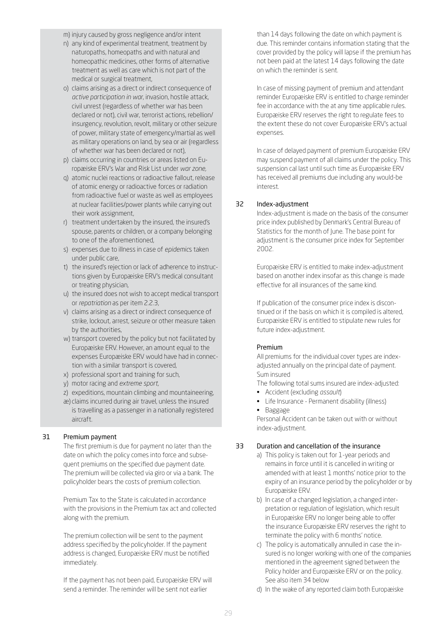m) injury caused by gross negligence and/or intent

- n) any kind of experimental treatment, treatment by naturopaths, homeopaths and with natural and homeopathic medicines, other forms of alternative treatment as well as care which is not part of the medical or surgical treatment,
- o) claims arising as a direct or indirect consequence of *active participation in war*, invasion, hostile attack, civil unrest (regardless of whether war has been declared or not), civil war, terrorist actions, rebellion/ insurgency, revolution, revolt, military or other seizure of power, military state of emergency/martial as well as military operations on land, by sea or air (regardless of whether war has been declared or not),
- p) claims occurring in countries or areas listed on Europæiske ERV's War and Risk List under *war zone,*
- q) atomic nuclei reactions or radioactive fallout, release of atomic energy or radioactive forces or radiation from radioactive fuel or waste as well as employees at nuclear facilities/power plants while carrying out their work assignment,
- r) treatment undertaken by the insured, the insured's spouse, parents or children, or a company belonging to one of the aforementioned,
- s) expenses due to illness in case of *epidemic*s taken under public care,
- t) the insured's rejection or lack of adherence to instructions given by Europæiske ERV's medical consultant or treating physician,
- u) the insured does not wish to accept medical transport or *repatriation* as per item 2.2.3,
- v) claims arising as a direct or indirect consequence of strike, lockout, arrest, seizure or other measure taken by the authorities,
- w) transport covered by the policy but not facilitated by Europæiske ERV. However, an amount equal to the expenses Europæiske ERV would have had in connection with a similar transport is covered,
- x) professional sport and training for such,
- y) motor racing and *extreme sport,*
- z) expeditions, mountain climbing and mountaineering,
- æ) claims incurred during air travel, unless the insured is travelling as a passenger in a nationally registered

#### <span id="page-28-0"></span>31 Premium payment

aircraft.

The first premium is due for payment no later than the date on which the policy comes into force and subsequent premiums on the specified due payment date. The premium will be collected via giro or via a bank. The policyholder bears the costs of premium collection.

Premium Tax to the State is calculated in accordance with the provisions in the Premium tax act and collected along with the premium.

The premium collection will be sent to the payment address specified by the policyholder. If the payment address is changed, Europæiske ERV must be notified immediately.

If the payment has not been paid, Europæiske ERV will send a reminder. The reminder will be sent not earlier

than 14 days following the date on which payment is due. This reminder contains information stating that the cover provided by the policy will lapse if the premium has not been paid at the latest 14 days following the date on which the reminder is sent.

In case of missing payment of premium and attendant reminder Europæiske ERV is entitled to charge reminder fee in accordance with the at any time applicable rules. Europæiske ERV reserves the right to regulate fees to the extent these do not cover Europæiske ERV's actual expenses.

In case of delayed payment of premium Europæiske ERV may suspend payment of all claims under the policy. This suspension cal last until such time as Europæiske ERV has received all premiums due including any would-be interest.

#### <span id="page-28-1"></span>32 Index-adjustment

Index-adjustment is made on the basis of the consumer price index published by Denmark's Central Bureau of Statistics for the month of June. The base point for adjustment is the consumer price index for September 2002.

Europæiske ERV is entitled to make index-adjustment based on another index insofar as this change is made effective for all insurances of the same kind.

If publication of the consumer price index is discontinued or if the basis on which it is compiled is altered, Europæiske ERV is entitled to stipulate new rules for future index-adjustment.

#### Premium

All premiums for the individual cover types are indexadjusted annually on the principal date of payment. Sum insured

The following total sums insured are index-adjusted:

- Accident (excluding *assault*)
- Life Insurance Permanent disability (illness) • Baggage

Personal Accident can be taken out with or without index-adjustment.

#### <span id="page-28-2"></span>33 Duration and cancellation of the insurance

- a) This policy is taken out for 1-year periods and remains in force until it is cancelled in writing or amended with at least 1 months' notice prior to the expiry of an insurance period by the policyholder or by Europæiske ERV.
- b) In case of a changed legislation, a changed interpretation or regulation of legislation, which result in Europæiske ERV no longer being able to offer the insurance Europæiske ERV reserves the right to terminate the policy with 6 months' notice.
- c) The policy is automatically annulled in case the insured is no longer working with one of the companies mentioned in the agreement signed between the Policy holder and Europæiske ERV or on the policy. See also item 34 below
- d) In the wake of any reported claim both Europæiske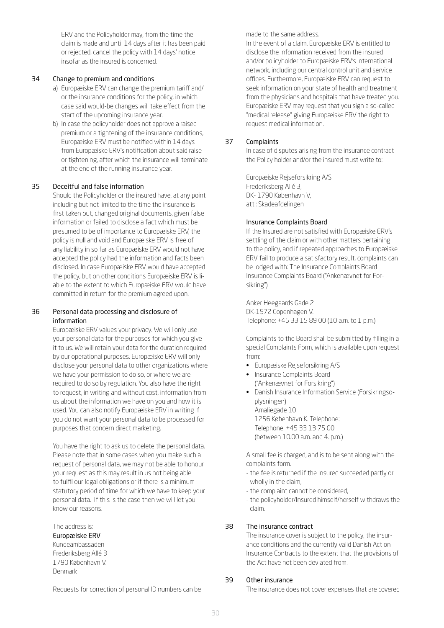ERV and the Policyholder may, from the time the claim is made and until 14 days after it has been paid or rejected, cancel the policy with 14 days' notice insofar as the insured is concerned.

#### <span id="page-29-0"></span>34 Change to premium and conditions

- a) Europæiske ERV can change the premium tariff and/ or the insurance conditions for the policy, in which case said would-be changes will take effect from the start of the upcoming insurance year.
- b) In case the policyholder does not approve a raised premium or a tightening of the insurance conditions, Europæiske ERV must be notified within 14 days from Europæiske ERV's notification about said raise or tightening, after which the insurance will terminate at the end of the running insurance year.

## <span id="page-29-1"></span>35 Deceitful and false information

Should the Policyholder or the insured have, at any point including but not limited to the time the insurance is first taken out, changed original documents, given false information or failed to disclose a fact which must be presumed to be of importance to Europæiske ERV, the policy is null and void and Europæiske ERV is free of any liability in so far as Europæiske ERV would not have accepted the policy had the information and facts been disclosed. In case Europæiske ERV would have accepted the policy, but on other conditions Europæiske ERV is liable to the extent to which Europæiske ERV would have committed in return for the premium agreed upon.

#### 36 Personal data processing and disclosure of information

Europæiske ERV values your privacy. We will only use your personal data for the purposes for which you give it to us. We will retain your data for the duration required by our operational purposes. Europæiske ERV will only disclose your personal data to other organizations where we have your permission to do so, or where we are required to do so by regulation. You also have the right to request, in writing and without cost, information from us about the information we have on you and how it is used. You can also notify Europæiske ERV in writing if you do not want your personal data to be processed for purposes that concern direct marketing.

You have the right to ask us to delete the personal data. Please note that in some cases when you make such a request of personal data, we may not be able to honour your request as this may result in us not being able to fulfil our legal obligations or if there is a minimum statutory period of time for which we have to keep your personal data. If this is the case then we will let you know our reasons.

# The address is:

# Europæiske ERV

Kundeambassaden Frederiksberg Allé 3 1790 København V. Denmark

Requests for correction of personal ID numbers can be

made to the same address.

In the event of a claim, Europæiske ERV is entitled to disclose the information received from the insured and/or policyholder to Europæiske ERV's international network, including our central control unit and service offices. Furthermore, Europæiske ERV can request to seek information on your state of health and treatment from the physicians and hospitals that have treated you. Europæiske ERV may request that you sign a so-called "medical release" giving Europæiske ERV the right to request medical information.

## <span id="page-29-2"></span>37 Complaints

In case of disputes arising from the insurance contract the Policy holder and/or the insured must write to:

Europæiske Rejseforsikring A/S Frederiksberg Allé 3, DK- 1790 København V, att.: Skadeafdelingen

#### Insurance Complaints Board

If the Insured are not satisfied with Europæiske ERV's settling of the claim or with other matters pertaining to the policy, and if repeated approaches to Europæiske ERV fail to produce a satisfactory result, complaints can be lodged with: The Insurance Complaints Board Insurance Complaints Board ("Ankenævnet for Forsikring")

Anker Heegaards Gade 2 DK-1572 Copenhagen V. Telephone: +45 33 15 89 00 (10 a.m. to 1 p.m.)

Complaints to the Board shall be submitted by filling in a special Complaints Form, which is available upon request from:

- Europæiske Rejseforsikring A/S
- Insurance Complaints Board ("Ankenævnet for Forsikring")
- Danish Insurance Information Service (Forsikringsoplysningen) Amaliegade 10 1256 København K. Telephone: Telephone: +45 33 13 75 00 (between 10.00 a.m. and 4. p.m.)

A small fee is charged, and is to be sent along with the complaints form.

- the fee is returned if the Insured succeeded partly or wholly in the claim,
- the complaint cannot be considered,
- the policyholder/Insured himself/herself withdraws the claim.

# <span id="page-29-3"></span>38 The insurance contract

The insurance cover is subject to the policy, the insurance conditions and the currently valid Danish Act on Insurance Contracts to the extent that the provisions of the Act have not been deviated from.

# 39 Other insurance

The insurance does not cover expenses that are covered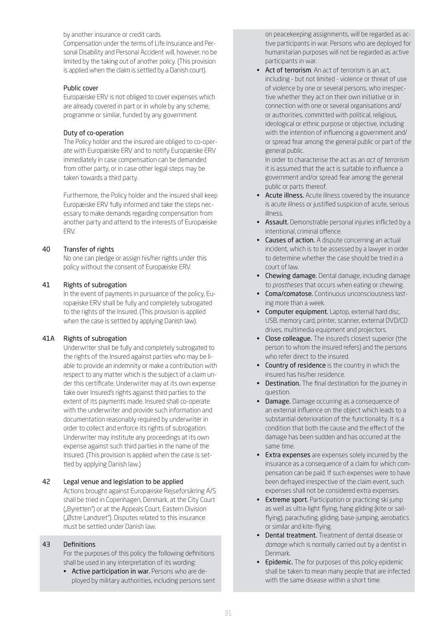by another insurance or credit cards.

Compensation under the terms of Life Insurance and Personal Disability and Personal Accident will, however, no be limited by the taking out of another policy. (This provision is applied when the claim is settled by a Danish court).

#### Public cover

Europæiske ERV is not obliged to cover expenses which are already covered in part or in whole by any scheme, programme or similar, funded by any government.

#### Duty of co-operation

The Policy holder and the insured are obliged to co-operate with Europæiske ERV and to notify Europæiske ERV immediately in case compensation can be demanded from other party, or in case other legal steps may be taken towards a third party.

Furthermore, the Policy holder and the insured shall keep Europæiske ERV fully informed and take the steps necessary to make demands regarding compensation from another party and attend to the interests of Europæiske ERV.

## <span id="page-30-0"></span>40 Transfer of rights

No one can pledge or assign his/her rights under this policy without the consent of Europæiske ERV.

#### 41 Rights of subrogation

In the event of payments in pursuance of the policy, Europæiske ERV shall be fully and completely subrogated to the rights of the Insured. (This provision is applied when the case is settled by applying Danish law).

#### <span id="page-30-1"></span>41A Rights of subrogation

Underwriter shall be fully and completely subrogated to the rights of the Insured against parties who may be liable to provide an indemnity or make a contribution with respect to any matter which is the subject of a claim under this certificate. Underwriter may at its own expense take over Insured's rights against third parties to the extent of its payments made. Insured shall co-operate with the underwriter and provide such information and documentation reasonably required by underwriter in order to collect and enforce its rights of subrogation. Underwriter may institute any proceedings at its own expense against such third parties in the name of the Insured. (This provision is applied when the case is settled by applying Danish law.)

#### <span id="page-30-2"></span>42 Legal venue and legislation to be applied

Actions brought against Europæiske Rejseforsikring A/S shall be tried in Copenhagen, Denmark, at the City Court ("Byretten") or at the Appeals Court, Eastern Division ("Østre Landsret"). Disputes related to this insurance must be settled under Danish law.

## <span id="page-30-3"></span>43 Definitions

For the purposes of this policy the following definitions shall be used in any interpretation of its wording:

• Active participation in war. Persons who are deployed by military authorities, including persons sent on peacekeeping assignments, will be regarded as active participants in war. Persons who are deployed for humanitarian purposes will not be regarded as active participants in war.

Act of terrorism. An act of terrorism is an act, including - but not limited - violence or threat of use of violence by one or several persons, who irrespective whether they act on their own initiative or in connection with one or several organisations and/ or authorities, committed with political, religious, ideological or ethnic purpose or objective, including with the intention of influencing a government and/ or spread fear among the general public or part of the general public.

 In order to characterise the act as an *act of terrorism* it is assumed that the act is suitable to influence a government and/or spread fear among the general public or parts thereof.

- Acute illness. Acute illness covered by the insurance is acute illness or justified suspicion of acute, serious illness.
- Assault. Demonstrable personal injuries inflicted by a intentional, criminal offence.
- Causes of action. A dispute concerning an actual incident, which is to be assessed by a lawyer in order to determine whether the case should be tried in a court of law.
- Chewing damage. Dental damage, including damage to *prostheses* that occurs when eating or chewing.
- Coma/comatose. Continuous unconsciousness lasting more than a week.
- Computer equipment. Laptop, external hard disc, USB, memory card, printer, scanner, external DVD/CD drives, multimedia equipment and projectors.
- Close colleague. The insured's closest superior (the person to whom the insured refers) and the persons who refer direct to the insured.
- Country of residence is the country in which the insured has his/her residence.
- **Destination.** The final destination for the journey in question.
- Damage. Damage occurring as a consequence of an external influence on the object which leads to a substantial deterioration of the functionality. It is a condition that both the cause and the effect of the damage has been sudden and has occurred at the same time.
- Extra expenses are expenses solely incurred by the insurance as a consequence of a claim for which compensation can be paid. If such expenses were to have been defrayed irrespective of the claim event, such expenses shall not be considered extra expenses.
- **Extreme sport.** Participation or practicing ski jump as well as ultra-light flying, hang gliding (kite or sailflying), parachuting, gliding, base-jumping, aerobatics or similar and kite-flying.
- Dental treatment. Treatment of dental disease or *damage* which is normally carried out by a dentist in Denmark.
- Epidemic. The for purposes of this policy epidemic shall be taken to mean many people that are infected with the same disease within a short time.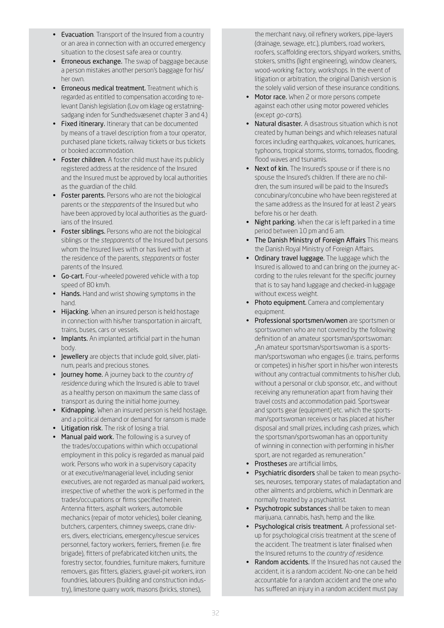- Evacuation. Transport of the Insured from a country or an area in connection with an occurred emergency situation to the closest safe area or country.
- Erroneous exchange. The swap of baggage because a person mistakes another person's baggage for his/ her own.
- Erroneous medical treatment. Treatment which is regarded as entitled to compensation according to relevant Danish legislation (Lov om klage og erstatningsadgang inden for Sundhedsvæsenet chapter 3 and 4.)
- Fixed itinerary. Itinerary that can be documented by means of a travel description from a tour operator, purchased plane tickets, railway tickets or bus tickets or booked accommodation.
- Foster children. A foster child must have its publicly registered address at the residence of the Insured and the Insured must be approved by local authorities as the guardian of the child.
- Foster parents. Persons who are not the biological parents or the *stepparents* of the Insured but who have been approved by local authorities as the guardians of the Insured.
- Foster siblings. Persons who are not the biological siblings or the *stepparents* of the Insured but persons whom the Insured lives with or has lived with at the residence of the parents, *stepparents* or foster parents of the Insured.
- Go-cart. Four-wheeled powered vehicle with a top speed of 80 km/h.
- Hands. Hand and wrist showing symptoms in the hand.
- Hijacking. When an insured person is held hostage in connection with his/her transportation in aircraft, trains, buses, cars or vessels.
- Implants. An implanted, artificial part in the human body.
- Jewellery are objects that include gold, silver, platinum, pearls and precious stones.
- Journey home. A journey back to the *country of residence* during which the Insured is able to travel as a healthy person on maximum the same class of transport as during the initial home journey.
- Kidnapping. When an insured person is held hostage, and a political demand or demand for ransom is made
- Litigation risk. The risk of losing a trial.
- Manual paid work. The following is a survey of the trades/occupations within which occupational employment in this policy is regarded as manual paid work. Persons who work in a supervisory capacity or at executive/managerial level, including senior executives, are not regarded as manual paid workers, irrespective of whether the work is performed in the trades/occupations or firms specified herein. Antenna fitters, asphalt workers, automobile mechanics (repair of motor vehicles), boiler cleaning, butchers, carpenters, chimney sweeps, crane drivers, divers, electricians, emergency/rescue services personnel, factory workers, ferriers, firemen (i.e. fire brigade), fitters of prefabricated kitchen units, the forestry sector, foundries, furniture makers, furniture removers, gas fitters, glaziers, gravel-pit workers, iron foundries, labourers (building and construction industry), limestone quarry work, masons (bricks, stones),

the merchant navy, oil refinery workers, pipe-layers (drainage, sewage, etc.), plumbers, road workers, roofers, scaffolding erectors, shipyard workers, smiths, stokers, smiths (light engineering), window cleaners, wood-working factory, workshops. In the event of litigation or arbitration, the original Danish version is the solely valid version of these insurance conditions.

- Motor race. When 2 or more persons compete against each other using motor powered vehicles (except *go-cart*s).
- Natural disaster. A disastrous situation which is not created by human beings and which releases natural forces including earthquakes, volcanoes, hurricanes, typhoons, tropical storms, storms, tornados, flooding, flood waves and tsunamis.
- Next of kin. The Insured's spouse or if there is no spouse the Insured's children. If there are no children, the sum insured will be paid to the Insured's concubinary/concubine who have been registered at the same address as the Insured for at least 2 years before his or her death.
- Night parking. When the car is left parked in a time period between 10 pm and 6 am.
- The Danish Ministry of Foreign Affairs This means the Danish Royal Ministry of Foreign Affairs.
- Ordinary travel luggage. The luggage which the Insured is allowed to and can bring on the journey according to the rules relevant for the specific journey that is to say hand luggage and checked-in luggage without excess weight.
- Photo equipment. Camera and complementary equipment.
- Professional sportsmen/women are sportsmen or sportswomen who are not covered by the following definition of an amateur sportsman/sportswoman: "An amateur sportsman/sportswoman is a sportsman/sportswoman who engages (i.e. trains, performs or competes) in his/her sport in his/her won interests without any contractual commitments to his/her club, without a personal or club sponsor, etc., and without receiving any remuneration apart from having their travel costs and accommodation paid. Sportswear and sports gear (equipment) etc. which the sportsman/sportswoman receives or has placed at his/her disposal and small prizes, including cash prizes, which the sportsman/sportswoman has an opportunity of winning in connection with performing in his/her sport, are not regarded as remuneration."
- Prostheses are artificial limbs,
- Psychiatric disorders shall be taken to mean psychoses, neuroses, temporary states of maladaptation and other ailments and problems, which in Denmark are normally treated by a psychiatrist.
- Psychotropic substances shall be taken to mean marijuana, cannabis, hash, hemp and the like.
- Psychological crisis treatment. A professional setup for psychological crisis treatment at the scene of the accident. The treatment is later finalised when the Insured returns to the *country of residence*.
- Random accidents. If the Insured has not caused the accident, it is a random accident. No-one can be held accountable for a random accident and the one who has suffered an injury in a random accident must pay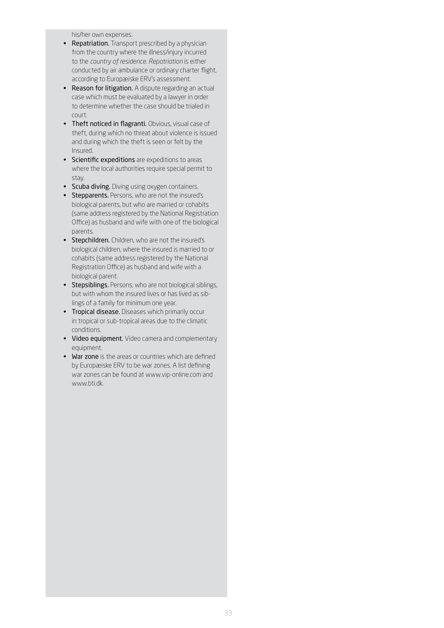his/her own expenses.

- Repatriation. Transport prescribed by a physician from the country where the illness/injury incurred to the *country of residence*. *Repatriation* is either conducted by air ambulance or ordinary charter flight, according to Europæiske ERV's assessment.
- Reason for litigation. A dispute regarding an actual case which must be evaluated by a lawyer in order to determine whether the case should be trialed in court.
- Theft noticed in flagranti. Obvious, visual case of theft, during which no threat about violence is issued and during which the theft is seen or felt by the Insured.
- Scientific expeditions are expeditions to areas where the local authorities require special permit to stay.
- Scuba diving. Diving using oxygen containers.
- Stepparents. Persons, who are not the insured's biological parents, but who are married or cohabits (same address registered by the National Registration Office) as husband and wife with one of the biological parents.
- Stepchildren. Children, who are not the insured's biological children, where the insured is married to or cohabits (same address registered by the National Registration Office) as husband and wife with a biological parent.
- Stepsiblings. Persons, who are not biological siblings, but with whom the insured lives or has lived as siblings of a family for minimum one year.
- Tropical disease. Diseases which primarily occur in tropical or sub-tropical areas due to the climatic conditions.
- Video equipment. Video camera and complementary equipment.
- War zone is the areas or countries which are defined by Europæiske ERV to be war zones. A list defining war zones can be found at www.vip-online.com and www.bti.dk.